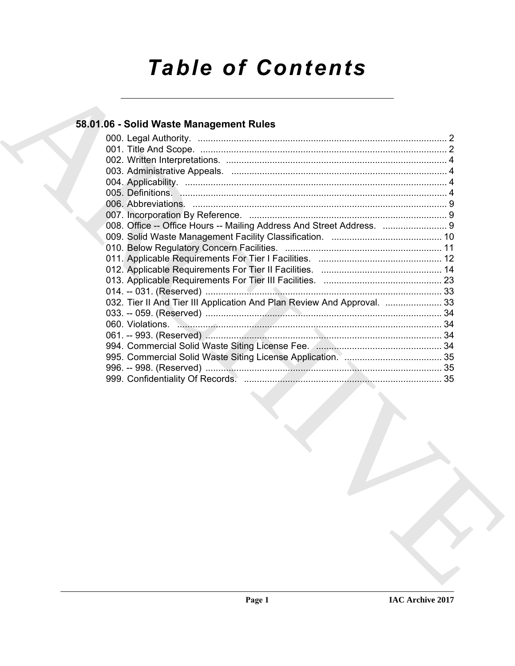# *Table of Contents*

# **58.01.06 - Solid Waste Management Rules**

| 008. Office -- Office Hours -- Mailing Address And Street Address.  9<br>032. Tier II And Tier III Application And Plan Review And Approval.  33 | 58.01.06 - Solid Waste Management Rules |  |
|--------------------------------------------------------------------------------------------------------------------------------------------------|-----------------------------------------|--|
|                                                                                                                                                  |                                         |  |
|                                                                                                                                                  |                                         |  |
|                                                                                                                                                  |                                         |  |
|                                                                                                                                                  |                                         |  |
|                                                                                                                                                  |                                         |  |
|                                                                                                                                                  |                                         |  |
|                                                                                                                                                  |                                         |  |
|                                                                                                                                                  |                                         |  |
|                                                                                                                                                  |                                         |  |
|                                                                                                                                                  |                                         |  |
|                                                                                                                                                  |                                         |  |
|                                                                                                                                                  |                                         |  |
|                                                                                                                                                  |                                         |  |
|                                                                                                                                                  |                                         |  |
|                                                                                                                                                  |                                         |  |
|                                                                                                                                                  |                                         |  |
|                                                                                                                                                  |                                         |  |
|                                                                                                                                                  |                                         |  |
|                                                                                                                                                  |                                         |  |
|                                                                                                                                                  |                                         |  |
|                                                                                                                                                  |                                         |  |
|                                                                                                                                                  |                                         |  |
|                                                                                                                                                  |                                         |  |
|                                                                                                                                                  |                                         |  |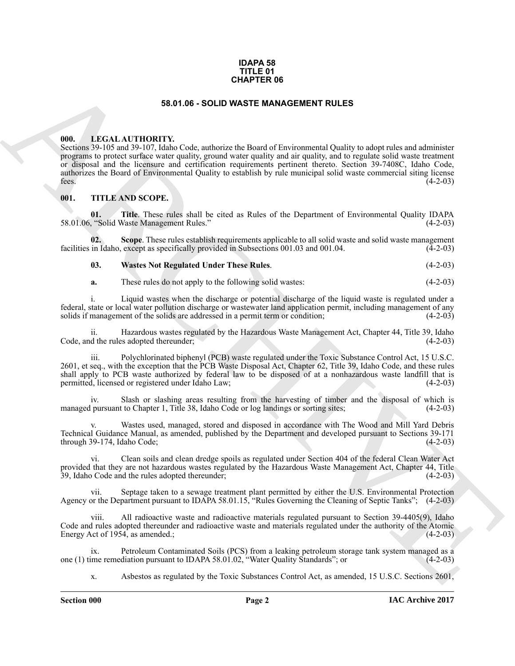#### **IDAPA 58 TITLE 01 CHAPTER 06**

#### **58.01.06 - SOLID WASTE MANAGEMENT RULES**

#### <span id="page-1-1"></span><span id="page-1-0"></span>**000. LEGAL AUTHORITY.**

**641.4 CALL ATTHORTY,**<br>**6581 68 - 800 ID WASTE MANAGEMENT RULES**<br> **96.00** ID IN CALL ATTHORTY, via the contract of the state of the state of the state of the state of the state<br> **96.000** IN CONSECTION (CONSECTION) AND COP Sections 39-105 and 39-107, Idaho Code, authorize the Board of Environmental Quality to adopt rules and administer programs to protect surface water quality, ground water quality and air quality, and to regulate solid waste treatment or disposal and the licensure and certification requirements pertinent thereto. Section 39-7408C, Idaho Code, authorizes the Board of Environmental Quality to establish by rule municipal solid waste commercial siting license fees.  $(4-2-03)$ 

#### <span id="page-1-2"></span>**001. TITLE AND SCOPE.**

<span id="page-1-4"></span>**01.** Title. These rules shall be cited as Rules of the Department of Environmental Quality IDAPA (4-2-03) 58.01.06, "Solid Waste Management Rules."

**02.** Scope. These rules establish requirements applicable to all solid waste and solid waste management in Idaho, except as specifically provided in Subsections 001.03 and 001.04. (4-2-03) facilities in Idaho, except as specifically provided in Subsections 001.03 and 001.04.

#### <span id="page-1-5"></span><span id="page-1-3"></span>**03. Wastes Not Regulated Under These Rules**. (4-2-03)

**a.** These rules do not apply to the following solid wastes: (4-2-03)

i. Liquid wastes when the discharge or potential discharge of the liquid waste is regulated under a federal, state or local water pollution discharge or wastewater land application permit, including management of any solids if management of the solids are addressed in a permit term or condition;

Hazardous wastes regulated by the Hazardous Waste Management Act, Chapter 44, Title 39, Idaho ss adopted thereunder: (4-2-03) Code, and the rules adopted thereunder;

iii. Polychlorinated biphenyl (PCB) waste regulated under the Toxic Substance Control Act, 15 U.S.C. 2601, et seq., with the exception that the PCB Waste Disposal Act, Chapter 62, Title 39, Idaho Code, and these rules shall apply to PCB waste authorized by federal law to be disposed of at a nonhazardous waste landfill that is permitted, licensed or registered under Idaho Law; (4-2-03)

iv. Slash or slashing areas resulting from the harvesting of timber and the disposal of which is managed pursuant to Chapter 1, Title 38, Idaho Code or log landings or sorting sites; (4-2-03)

Wastes used, managed, stored and disposed in accordance with The Wood and Mill Yard Debris Technical Guidance Manual, as amended, published by the Department and developed pursuant to Sections 39-171  $through 39-174, Idaho Code;$  (4-2-03)

vi. Clean soils and clean dredge spoils as regulated under Section 404 of the federal Clean Water Act provided that they are not hazardous wastes regulated by the Hazardous Waste Management Act, Chapter 44, Title 39, Idaho Code and the rules adopted thereunder; (4-2-03)

vii. Septage taken to a sewage treatment plant permitted by either the U.S. Environmental Protection Agency or the Department pursuant to IDAPA 58.01.15, "Rules Governing the Cleaning of Septic Tanks"; (4-2-03)

viii. All radioactive waste and radioactive materials regulated pursuant to Section 39-4405(9), Idaho Code and rules adopted thereunder and radioactive waste and materials regulated under the authority of the Atomic Energy Act of 1954, as amended.; (4-2-03)

ix. Petroleum Contaminated Soils (PCS) from a leaking petroleum storage tank system managed as a one (1) time remediation pursuant to IDAPA 58.01.02, "Water Quality Standards"; or  $(4-2-03)$ 

x. Asbestos as regulated by the Toxic Substances Control Act, as amended, 15 U.S.C. Sections 2601,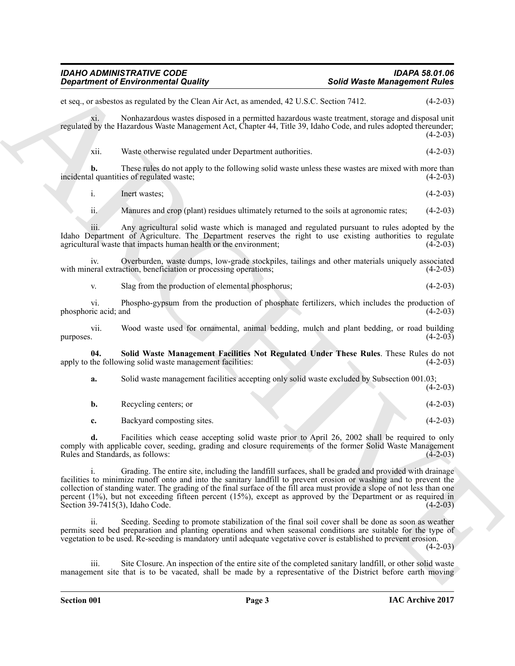**Solution of Environmental Quality .** Solutivars **Solutivarse Management Rolles**<br>
Solution of the Clevel and AVA clear and AVA clear and AVA clear and AVA clear and AVA clear and AVA clear and AVA<br>
specifical to the Clear et seq., or asbestos as regulated by the Clean Air Act, as amended, 42 U.S.C. Section 7412. (4-2-03) xi. Nonhazardous wastes disposed in a permitted hazardous waste treatment, storage and disposal unit regulated by the Hazardous Waste Management Act, Chapter 44, Title 39, Idaho Code, and rules adopted thereunder;  $(4-2-03)$ xii. Waste otherwise regulated under Department authorities. (4-2-03) **b.** These rules do not apply to the following solid waste unless these wastes are mixed with more than incidental quantities of regulated waste; (4-2-03) i. Inert wastes;  $(4-2-03)$ ii. Manures and crop (plant) residues ultimately returned to the soils at agronomic rates; (4-2-03) iii. Any agricultural solid waste which is managed and regulated pursuant to rules adopted by the Idaho Department of Agriculture. The Department reserves the right to use existing authorities to regulate agricultural waste that impacts human health or the environment; (4-2-03) agricultural waste that impacts human health or the environment; iv. Overburden, waste dumps, low-grade stockpiles, tailings and other materials uniquely associated with mineral extraction, beneficiation or processing operations; v. Slag from the production of elemental phosphorus; (4-2-03) vi. Phospho-gypsum from the production of phosphate fertilizers, which includes the production of phosphoric acid; and vii. Wood waste used for ornamental, animal bedding, mulch and plant bedding, or road building  $p$ urposes.  $(4-2-03)$ **04. Solid Waste Management Facilities Not Regulated Under These Rules**. These Rules do not apply to the following solid waste management facilities: **a.** Solid waste management facilities accepting only solid waste excluded by Subsection 001.03;  $(4-2-03)$ **b.** Recycling centers; or (4-2-03) **c.** Backyard composting sites. (4-2-03) **d.** Facilities which cease accepting solid waste prior to April 26, 2002 shall be required to only comply with applicable cover, seeding, grading and closure requirements of the former Solid Waste Management Rules and Standards, as follows: (4-2-03) i. Grading. The entire site, including the landfill surfaces, shall be graded and provided with drainage facilities to minimize runoff onto and into the sanitary landfill to prevent erosion or washing and to prevent the collection of standing water. The grading of the final surface of the fill area must provide a slope of not less than one percent (1%), but not exceeding fifteen percent (15%), except as approved by the Department or as required in Section 39-7415(3), Idaho Code. (4-2-03) ii. Seeding. Seeding to promote stabilization of the final soil cover shall be done as soon as weather permits seed bed preparation and planting operations and when seasonal conditions are suitable for the type of vegetation to be used. Re-seeding is mandatory until adequate vegetative cover is established to prevent erosion.  $(4-2-03)$ 

<span id="page-2-0"></span>iii. Site Closure. An inspection of the entire site of the completed sanitary landfill, or other solid waste management site that is to be vacated, shall be made by a representative of the District before earth moving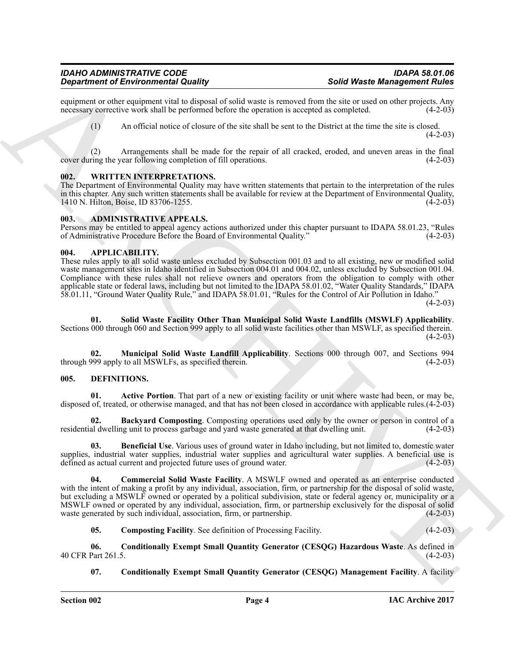equipment or other equipment vital to disposal of solid waste is removed from the site or used on other projects. Any necessary corrective work shall be performed before the operation is accepted as completed. (4-2-03) necessary corrective work shall be performed before the operation is accepted as completed.

(1) An official notice of closure of the site shall be sent to the District at the time the site is closed.  $(4-2-03)$ 

(2) Arrangements shall be made for the repair of all cracked, eroded, and uneven areas in the final cover during the year following completion of fill operations.

#### <span id="page-3-0"></span>**002. WRITTEN INTERPRETATIONS.**

The Department of Environmental Quality may have written statements that pertain to the interpretation of the rules in this chapter. Any such written statements shall be available for review at the Department of Environmental Quality, 1410 N. Hilton, Boise, ID 83706-1255.

#### <span id="page-3-1"></span>**003. ADMINISTRATIVE APPEALS.**

Persons may be entitled to appeal agency actions authorized under this chapter pursuant to IDAPA 58.01.23, "Rules of Administrative Procedure Before the Board of Environmental Quality." (4-2-03) of Administrative Procedure Before the Board of Environmental Quality."

#### <span id="page-3-2"></span>**004. APPLICABILITY.**

**Sophimes of Environmental Radius of the United States is the Control of the Control of the Control of the Control of the Control of the Control of the Control of the Control of the Control of the Control of the Control** These rules apply to all solid waste unless excluded by Subsection 001.03 and to all existing, new or modified solid waste management sites in Idaho identified in Subsection 004.01 and 004.02, unless excluded by Subsection 001.04. Compliance with these rules shall not relieve owners and operators from the obligation to comply with other applicable state or federal laws, including but not limited to the IDAPA 58.01.02, "Water Quality Standards," IDAPA 58.01.11, "Ground Water Quality Rule," and IDAPA 58.01.01, "Rules for the Control of Air Pollution in Idaho."  $(4-2-03)$ 

**01. Solid Waste Facility Other Than Municipal Solid Waste Landfills (MSWLF) Applicability**. Sections 000 through 060 and Section 999 apply to all solid waste facilities other than MSWLF, as specified therein.  $(4-2-03)$ 

**02. Municipal Solid Waste Landfill Applicability**. Sections 000 through 007, and Sections 994 through 999 apply to all MSWLFs, as specified therein.

#### <span id="page-3-4"></span><span id="page-3-3"></span>**005. DEFINITIONS.**

<span id="page-3-5"></span>**01. Active Portion**. That part of a new or existing facility or unit where waste had been, or may be, disposed of, treated, or otherwise managed, and that has not been closed in accordance with applicable rules.(4-2-03)

<span id="page-3-6"></span>**02. Backyard Composting**. Composting operations used only by the owner or person in control of a al dwelling unit to process garbage and yard waste generated at that dwelling unit. (4-2-03) residential dwelling unit to process garbage and yard waste generated at that dwelling unit.

<span id="page-3-7"></span>**03. Beneficial Use**. Various uses of ground water in Idaho including, but not limited to, domestic water supplies, industrial water supplies, industrial water supplies and agricultural water supplies. A beneficial use is defined as actual current and projected future uses of ground water. (4-2-03) defined as actual current and projected future uses of ground water.

<span id="page-3-8"></span>**04. Commercial Solid Waste Facility**. A MSWLF owned and operated as an enterprise conducted with the intent of making a profit by any individual, association, firm, or partnership for the disposal of solid waste, but excluding a MSWLF owned or operated by a political subdivision, state or federal agency or, municipality or a MSWLF owned or operated by any individual, association, firm, or partnership exclusively for the disposal of solid waste generated by such individual, association, firm, or partnership. (4-2-03) waste generated by such individual, association, firm, or partnership.

<span id="page-3-10"></span><span id="page-3-9"></span>**05. Composting Facility**. See definition of Processing Facility. (4-2-03)

**06. Conditionally Exempt Small Quantity Generator (CESQG) Hazardous Waste**. As defined in 40 CFR Part 261.5.

<span id="page-3-11"></span>**07.** Conditionally Exempt Small Quantity Generator (CESQG) Management Facility. A facility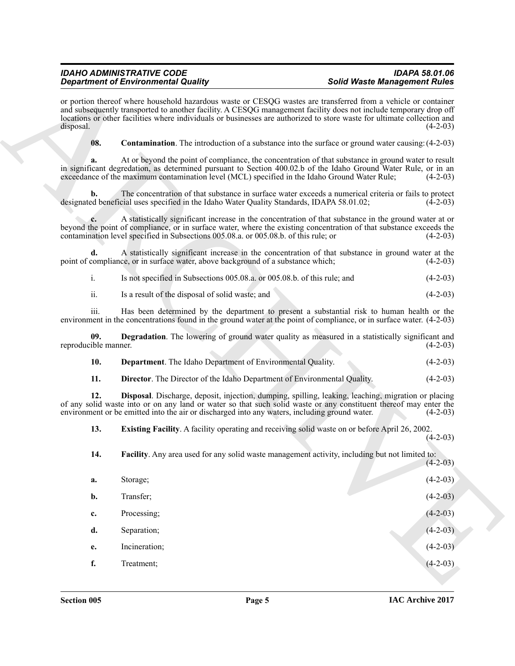<span id="page-4-6"></span><span id="page-4-5"></span><span id="page-4-4"></span><span id="page-4-3"></span><span id="page-4-2"></span><span id="page-4-1"></span><span id="page-4-0"></span>

| <b>Department of Environmental Quality</b> |                                                                                                                                                                                                                                                                                                                                                                | <b>Solid Waste Management Rules</b> |            |
|--------------------------------------------|----------------------------------------------------------------------------------------------------------------------------------------------------------------------------------------------------------------------------------------------------------------------------------------------------------------------------------------------------------------|-------------------------------------|------------|
| disposal.                                  | or portion thereof where household hazardous waste or CESQG wastes are transferred from a vehicle or container<br>and subsequently transported to another facility. A CESQG management facility does not include temporary drop off<br>locations or other facilities where individuals or businesses are authorized to store waste for ultimate collection and |                                     | $(4-2-03)$ |
| 08.                                        | <b>Contamination</b> . The introduction of a substance into the surface or ground water causing: (4-2-03)                                                                                                                                                                                                                                                      |                                     |            |
| a.                                         | At or beyond the point of compliance, the concentration of that substance in ground water to result<br>in significant degredation, as determined pursuant to Section 400.02.b of the Idaho Ground Water Rule, or in an<br>exceedance of the maximum contamination level (MCL) specified in the Idaho Ground Water Rule;                                        |                                     | $(4-2-03)$ |
| b.                                         | The concentration of that substance in surface water exceeds a numerical criteria or fails to protect<br>designated beneficial uses specified in the Idaho Water Quality Standards, IDAPA 58.01.02;                                                                                                                                                            |                                     | $(4-2-03)$ |
| c.                                         | A statistically significant increase in the concentration of that substance in the ground water at or<br>beyond the point of compliance, or in surface water, where the existing concentration of that substance exceeds the<br>contamination level specified in Subsections 005.08.a. or 005.08.b. of this rule; or                                           |                                     | $(4-2-03)$ |
| d.                                         | A statistically significant increase in the concentration of that substance in ground water at the<br>point of compliance, or in surface water, above background of a substance which;                                                                                                                                                                         |                                     | $(4-2-03)$ |
| i.                                         | Is not specified in Subsections 005.08.a. or 005.08.b. of this rule; and                                                                                                                                                                                                                                                                                       |                                     | $(4-2-03)$ |
| ii.                                        | Is a result of the disposal of solid waste; and                                                                                                                                                                                                                                                                                                                |                                     | $(4-2-03)$ |
| iii.                                       | Has been determined by the department to present a substantial risk to human health or the<br>environment in the concentrations found in the ground water at the point of compliance, or in surface water. (4-2-03)                                                                                                                                            |                                     |            |
| 09.<br>reproducible manner.                | <b>Degradation</b> . The lowering of ground water quality as measured in a statistically significant and                                                                                                                                                                                                                                                       |                                     | $(4-2-03)$ |
| 10.                                        | Department. The Idaho Department of Environmental Quality.                                                                                                                                                                                                                                                                                                     |                                     | $(4-2-03)$ |
| 11.                                        | <b>Director</b> . The Director of the Idaho Department of Environmental Quality.                                                                                                                                                                                                                                                                               |                                     | $(4-2-03)$ |
| 12.                                        | Disposal. Discharge, deposit, injection, dumping, spilling, leaking, leaching, migration or placing<br>of any solid waste into or on any land or water so that such solid waste or any constituent thereof may enter the<br>environment or be emitted into the air or discharged into any waters, including ground water.                                      |                                     | $(4-2-03)$ |
| 13.                                        | <b>Existing Facility.</b> A facility operating and receiving solid waste on or before April 26, 2002.                                                                                                                                                                                                                                                          |                                     | $(4-2-03)$ |
| 14.                                        | Facility. Any area used for any solid waste management activity, including but not limited to:                                                                                                                                                                                                                                                                 |                                     | $(4-2-03)$ |
| a.                                         | Storage;                                                                                                                                                                                                                                                                                                                                                       |                                     | $(4-2-03)$ |
| b.                                         | Transfer;                                                                                                                                                                                                                                                                                                                                                      |                                     | $(4-2-03)$ |
| c.                                         | Processing;                                                                                                                                                                                                                                                                                                                                                    |                                     | $(4-2-03)$ |
|                                            | Separation;                                                                                                                                                                                                                                                                                                                                                    |                                     | $(4-2-03)$ |
| d.                                         |                                                                                                                                                                                                                                                                                                                                                                |                                     |            |
| e.                                         | Incineration;                                                                                                                                                                                                                                                                                                                                                  |                                     | $(4-2-03)$ |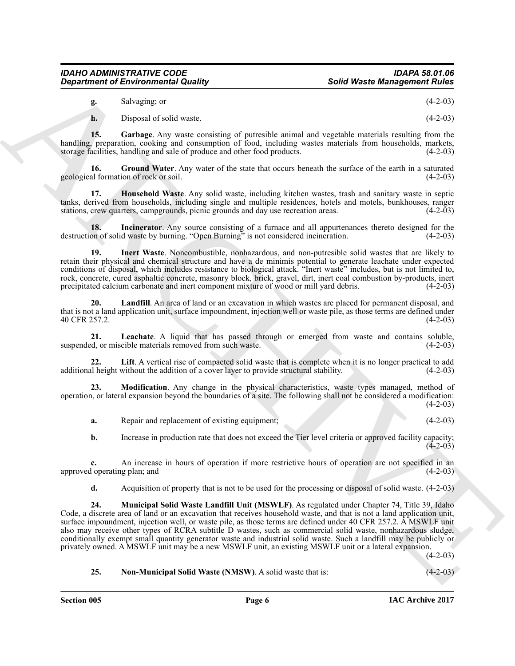| g. | Salvaging; or | $(4-2-03)$ |  |
|----|---------------|------------|--|
|----|---------------|------------|--|

<span id="page-5-1"></span><span id="page-5-0"></span>**h.** Disposal of solid waste. (4-2-03)

**15. Garbage**. Any waste consisting of putresible animal and vegetable materials resulting from the handling, preparation, cooking and consumption of food, including wastes materials from households, markets, storage facilities, handling and sale of produce and other food products. (4-2-03) storage facilities, handling and sale of produce and other food products.

**16.** Ground Water. Any water of the state that occurs beneath the surface of the earth in a saturated geological formation of rock or soil. (4-2-03)

<span id="page-5-2"></span>**17. Household Waste**. Any solid waste, including kitchen wastes, trash and sanitary waste in septic tanks, derived from households, including single and multiple residences, hotels and motels, bunkhouses, ranger stations, crew quarters, campgrounds, picnic grounds and day use recreation areas. (4-2-03) stations, crew quarters, campgrounds, picnic grounds and day use recreation areas.

<span id="page-5-3"></span>**18.** Incinerator. Any source consisting of a furnace and all appurtenances thereto designed for the on of solid waste by burning. "Open Burning" is not considered incineration. (4-2-03) destruction of solid waste by burning. "Open Burning" is not considered incineration.

<span id="page-5-4"></span>**19. Inert Waste**. Noncombustible, nonhazardous, and non-putresible solid wastes that are likely to retain their physical and chemical structure and have a de minimis potential to generate leachate under expected conditions of disposal, which includes resistance to biological attack. "Inert waste" includes, but is not limited to, rock, concrete, cured asphaltic concrete, masonry block, brick, gravel, dirt, inert coal combustion by-products, inert precipitated calcium carbonate and inert component mixture of wood or mill yard debris. (4-2-03) precipitated calcium carbonate and inert component mixture of wood or mill yard debris.

<span id="page-5-5"></span>**20. Landfill**. An area of land or an excavation in which wastes are placed for permanent disposal, and that is not a land application unit, surface impoundment, injection well or waste pile, as those terms are defined under 40 CFR 257.2.

<span id="page-5-6"></span>**21.** Leachate. A liquid that has passed through or emerged from waste and contains soluble, d, or miscible materials removed from such waste. (4-2-03) suspended, or miscible materials removed from such waste.

<span id="page-5-7"></span>**22.** Lift. A vertical rise of compacted solid waste that is complete when it is no longer practical to add al height without the addition of a cover layer to provide structural stability. (4-2-03) additional height without the addition of a cover layer to provide structural stability.

**23. Modification**. Any change in the physical characteristics, waste types managed, method of operation, or lateral expansion beyond the boundaries of a site. The following shall not be considered a modification:  $(4-2-03)$ 

<span id="page-5-8"></span>**a.** Repair and replacement of existing equipment; (4-2-03)

**b.** Increase in production rate that does not exceed the Tier level criteria or approved facility capacity;  $(4-2-03)$ 

**c.** An increase in hours of operation if more restrictive hours of operation are not specified in an 1 operating plan; and (4-2-03) approved operating plan; and

<span id="page-5-9"></span>**d.** Acquisition of property that is not to be used for the processing or disposal of solid waste. (4-2-03)

Solid Waste. Management of Environmental Quality<br>
us Solid Waste. Management Ruise<br>
us Manuscript of the state of particular simula and vegetable simula in the state of the 300<br>
us of the state of the state of particular **24. Municipal Solid Waste Landfill Unit (MSWLF)**. As regulated under Chapter 74, Title 39, Idaho Code, a discrete area of land or an excavation that receives household waste, and that is not a land application unit, surface impoundment, injection well, or waste pile, as those terms are defined under 40 CFR 257.2. A MSWLF unit also may receive other types of RCRA subtitle D wastes, such as commercial solid waste, nonhazardous sludge, conditionally exempt small quantity generator waste and industrial solid waste. Such a landfill may be publicly or privately owned. A MSWLF unit may be a new MSWLF unit, an existing MSWLF unit or a lateral expansion.

 $(4-2-03)$ 

### <span id="page-5-10"></span>**25. Non-Municipal Solid Waste (NMSW)**. A solid waste that is: (4-2-03)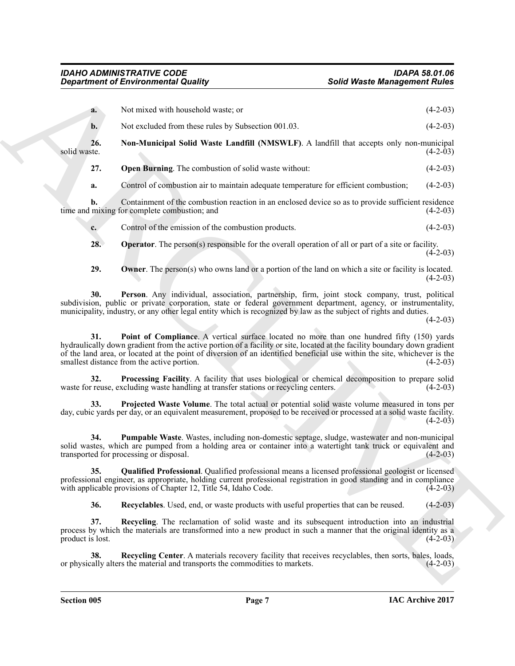<span id="page-6-5"></span><span id="page-6-4"></span><span id="page-6-3"></span><span id="page-6-2"></span><span id="page-6-1"></span><span id="page-6-0"></span>

| <b>Department of Environmental Quality</b>                                                                                                                                                                                                                                                                                                                                                               | <b>Solid Waste Management Rules</b> |
|----------------------------------------------------------------------------------------------------------------------------------------------------------------------------------------------------------------------------------------------------------------------------------------------------------------------------------------------------------------------------------------------------------|-------------------------------------|
| Not mixed with household waste; or<br>a.                                                                                                                                                                                                                                                                                                                                                                 | $(4-2-03)$                          |
| Not excluded from these rules by Subsection 001.03.<br>$b$ .                                                                                                                                                                                                                                                                                                                                             | $(4-2-03)$                          |
| 26.<br>Non-Municipal Solid Waste Landfill (NMSWLF). A landfill that accepts only non-municipal<br>solid waste.                                                                                                                                                                                                                                                                                           | $(4-2-03)$                          |
| 27.<br><b>Open Burning</b> . The combustion of solid waste without:                                                                                                                                                                                                                                                                                                                                      | $(4-2-03)$                          |
| Control of combustion air to maintain adequate temperature for efficient combustion;<br>a.                                                                                                                                                                                                                                                                                                               | $(4-2-03)$                          |
| Containment of the combustion reaction in an enclosed device so as to provide sufficient residence<br>b.<br>time and mixing for complete combustion; and                                                                                                                                                                                                                                                 | $(4-2-03)$                          |
| Control of the emission of the combustion products.<br>$c_{\cdot}$                                                                                                                                                                                                                                                                                                                                       | $(4-2-03)$                          |
| 28.<br><b>Operator</b> . The person(s) responsible for the overall operation of all or part of a site or facility.                                                                                                                                                                                                                                                                                       | $(4-2-03)$                          |
| 29.<br><b>Owner</b> . The person(s) who owns land or a portion of the land on which a site or facility is located.                                                                                                                                                                                                                                                                                       | $(4-2-03)$                          |
| Person. Any individual, association, partnership, firm, joint stock company, trust, political<br>30.<br>subdivision, public or private corporation, state or federal government department, agency, or instrumentality,<br>municipality, industry, or any other legal entity which is recognized by law as the subject of rights and duties.                                                             | $(4-2-03)$                          |
| Point of Compliance. A vertical surface located no more than one hundred fifty (150) yards<br>31.<br>hydraulically down gradient from the active portion of a facility or site, located at the facility boundary down gradient<br>of the land area, or located at the point of diversion of an identified beneficial use within the site, whichever is the<br>smallest distance from the active portion. | $(4-2-03)$                          |
| Processing Facility. A facility that uses biological or chemical decomposition to prepare solid<br>32.<br>waste for reuse, excluding waste handling at transfer stations or recycling centers.                                                                                                                                                                                                           | $(4-2-03)$                          |
| Projected Waste Volume. The total actual or potential solid waste volume measured in tons per<br>33.<br>day, cubic yards per day, or an equivalent measurement, proposed to be received or processed at a solid waste facility.                                                                                                                                                                          | $(4-2-03)$                          |
| Pumpable Waste. Wastes, including non-domestic septage, sludge, wastewater and non-municipal<br>34.<br>solid wastes, which are pumped from a holding area or container into a watertight tank truck or equivalent and<br>transported for processing or disposal.                                                                                                                                         | $(4-2-03)$                          |
| 35.<br><b>Qualified Professional</b> . Qualified professional means a licensed professional geologist or licensed<br>professional engineer, as appropriate, holding current professional registration in good standing and in compliance<br>with applicable provisions of Chapter 12, Title 54, Idaho Code.                                                                                              | $(4-2-03)$                          |
| Recyclables. Used, end, or waste products with useful properties that can be reused.<br>36.                                                                                                                                                                                                                                                                                                              | $(4-2-03)$                          |
| <b>Recycling</b> . The reclamation of solid waste and its subsequent introduction into an industrial<br>37.<br>process by which the materials are transformed into a new product in such a manner that the original identity as a<br>product is lost.                                                                                                                                                    | $(4-2-03)$                          |
|                                                                                                                                                                                                                                                                                                                                                                                                          |                                     |
| Recycling Center. A materials recovery facility that receives recyclables, then sorts, bales, loads,<br>38.<br>or physically alters the material and transports the commodities to markets.                                                                                                                                                                                                              | $(4-2-03)$                          |

<span id="page-6-12"></span><span id="page-6-11"></span><span id="page-6-10"></span><span id="page-6-9"></span><span id="page-6-8"></span><span id="page-6-7"></span><span id="page-6-6"></span>**Section 005 Page 7**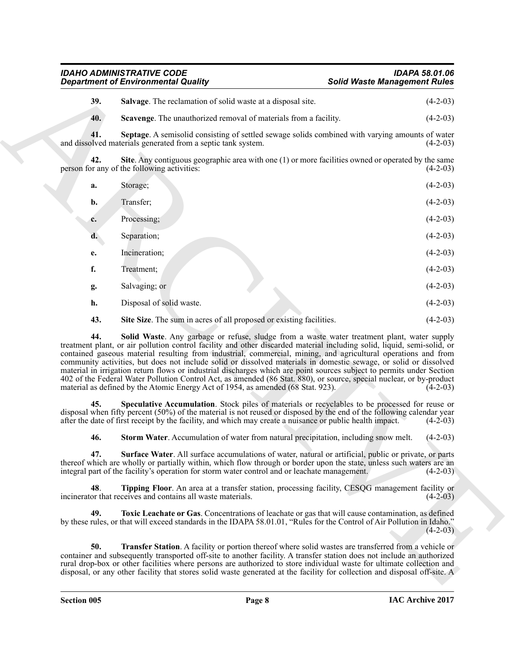<span id="page-7-11"></span><span id="page-7-10"></span><span id="page-7-9"></span><span id="page-7-8"></span><span id="page-7-7"></span><span id="page-7-6"></span><span id="page-7-5"></span><span id="page-7-4"></span><span id="page-7-3"></span><span id="page-7-2"></span><span id="page-7-1"></span><span id="page-7-0"></span>

|            | <b>Department of Environmental Quality</b>                                                                                                                                                                                                                                                                                                                                                                                                                                                                                                                                                                                                                                                                                                                                                                                                                                                           | <b>Solid Waste Management Rules</b> |            |
|------------|------------------------------------------------------------------------------------------------------------------------------------------------------------------------------------------------------------------------------------------------------------------------------------------------------------------------------------------------------------------------------------------------------------------------------------------------------------------------------------------------------------------------------------------------------------------------------------------------------------------------------------------------------------------------------------------------------------------------------------------------------------------------------------------------------------------------------------------------------------------------------------------------------|-------------------------------------|------------|
| 39.        | Salvage. The reclamation of solid waste at a disposal site.                                                                                                                                                                                                                                                                                                                                                                                                                                                                                                                                                                                                                                                                                                                                                                                                                                          |                                     | $(4-2-03)$ |
| 40.        | Scavenge. The unauthorized removal of materials from a facility.                                                                                                                                                                                                                                                                                                                                                                                                                                                                                                                                                                                                                                                                                                                                                                                                                                     |                                     | $(4-2-03)$ |
| 41.        | Septage. A semisolid consisting of settled sewage solids combined with varying amounts of water<br>and dissolved materials generated from a septic tank system.                                                                                                                                                                                                                                                                                                                                                                                                                                                                                                                                                                                                                                                                                                                                      |                                     | $(4-2-03)$ |
| 42.        | Site. Any contiguous geographic area with one $(1)$ or more facilities owned or operated by the same<br>person for any of the following activities:                                                                                                                                                                                                                                                                                                                                                                                                                                                                                                                                                                                                                                                                                                                                                  |                                     | $(4-2-03)$ |
| a.         | Storage;                                                                                                                                                                                                                                                                                                                                                                                                                                                                                                                                                                                                                                                                                                                                                                                                                                                                                             |                                     | $(4-2-03)$ |
| b.         | Transfer;                                                                                                                                                                                                                                                                                                                                                                                                                                                                                                                                                                                                                                                                                                                                                                                                                                                                                            |                                     | $(4-2-03)$ |
| c.         | Processing;                                                                                                                                                                                                                                                                                                                                                                                                                                                                                                                                                                                                                                                                                                                                                                                                                                                                                          |                                     | $(4-2-03)$ |
| d.         | Separation;                                                                                                                                                                                                                                                                                                                                                                                                                                                                                                                                                                                                                                                                                                                                                                                                                                                                                          |                                     | $(4-2-03)$ |
| e.         | Incineration;                                                                                                                                                                                                                                                                                                                                                                                                                                                                                                                                                                                                                                                                                                                                                                                                                                                                                        |                                     | $(4-2-03)$ |
| f.         | Treatment;                                                                                                                                                                                                                                                                                                                                                                                                                                                                                                                                                                                                                                                                                                                                                                                                                                                                                           |                                     | $(4-2-03)$ |
| g.         | Salvaging; or                                                                                                                                                                                                                                                                                                                                                                                                                                                                                                                                                                                                                                                                                                                                                                                                                                                                                        |                                     | $(4-2-03)$ |
| h.         | Disposal of solid waste.                                                                                                                                                                                                                                                                                                                                                                                                                                                                                                                                                                                                                                                                                                                                                                                                                                                                             |                                     | $(4-2-03)$ |
| 43.        | Site Size. The sum in acres of all proposed or existing facilities.                                                                                                                                                                                                                                                                                                                                                                                                                                                                                                                                                                                                                                                                                                                                                                                                                                  |                                     | $(4-2-03)$ |
| 44.<br>45. | Solid Waste. Any garbage or refuse, sludge from a waste water treatment plant, water supply<br>treatment plant, or air pollution control facility and other discarded material including solid, liquid, semi-solid, or<br>contained gaseous material resulting from industrial, commercial, mining, and agricultural operations and from<br>community activities, but does not include solid or dissolved materials in domestic sewage, or solid or dissolved<br>material in irrigation return flows or industrial discharges which are point sources subject to permits under Section<br>402 of the Federal Water Pollution Control Act, as amended (86 Stat. 880), or source, special nuclear, or by-product<br>material as defined by the Atomic Energy Act of 1954, as amended (68 Stat. 923).<br>Speculative Accumulation. Stock piles of materials or recyclables to be processed for reuse or |                                     | $(4-2-03)$ |
|            | disposal when fifty percent (50%) of the material is not reused or disposed by the end of the following calendar year<br>after the date of first receipt by the facility, and which may create a nuisance or public health impact.                                                                                                                                                                                                                                                                                                                                                                                                                                                                                                                                                                                                                                                                   |                                     | $(4-2-03)$ |
| 46.        | Storm Water. Accumulation of water from natural precipitation, including snow melt.                                                                                                                                                                                                                                                                                                                                                                                                                                                                                                                                                                                                                                                                                                                                                                                                                  |                                     | $(4-2-03)$ |
|            | Surface Water. All surface accumulations of water, natural or artificial, public or private, or parts<br>thereof which are wholly or partially within, which flow through or border upon the state, unless such waters are an<br>integral part of the facility's operation for storm water control and or leachate management.                                                                                                                                                                                                                                                                                                                                                                                                                                                                                                                                                                       |                                     | $(4-2-03)$ |
| 48.        | Tipping Floor. An area at a transfer station, processing facility, CESQG management facility or<br>incinerator that receives and contains all waste materials.                                                                                                                                                                                                                                                                                                                                                                                                                                                                                                                                                                                                                                                                                                                                       |                                     | $(4-2-03)$ |
| 49.        | Toxic Leachate or Gas. Concentrations of leachate or gas that will cause contamination, as defined<br>by these rules, or that will exceed standards in the IDAPA 58.01.01, "Rules for the Control of Air Pollution in Idaho."                                                                                                                                                                                                                                                                                                                                                                                                                                                                                                                                                                                                                                                                        |                                     | $(4-2-03)$ |
| 50.        | Transfer Station. A facility or portion thereof where solid wastes are transferred from a vehicle or<br>container and subsequently transported off-site to another facility. A transfer station does not include an authorized<br>rural drop-box or other facilities where persons are authorized to store individual waste for ultimate collection and<br>disposal, or any other facility that stores solid waste generated at the facility for collection and disposal off-site. A                                                                                                                                                                                                                                                                                                                                                                                                                 |                                     |            |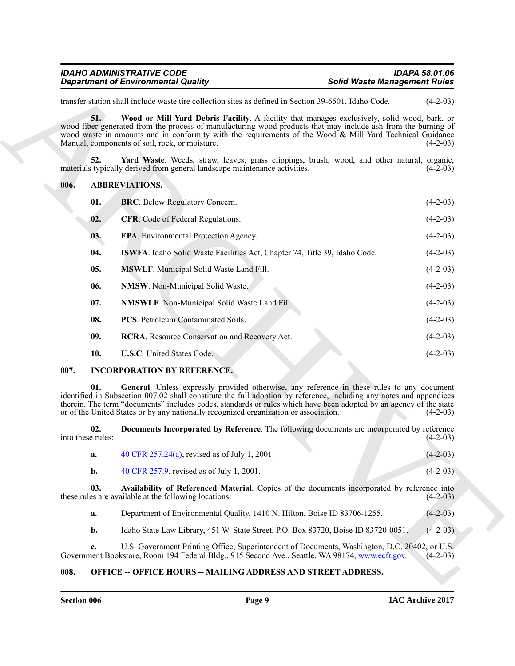<span id="page-8-14"></span>

| <b>IDAHO ADMINISTRATIVE CODE</b>           | IDAPA 58.01.06                      |
|--------------------------------------------|-------------------------------------|
| <b>Department of Environmental Quality</b> | <b>Solid Waste Management Rules</b> |

#### <span id="page-8-15"></span><span id="page-8-8"></span><span id="page-8-7"></span><span id="page-8-6"></span><span id="page-8-5"></span><span id="page-8-4"></span><span id="page-8-3"></span><span id="page-8-0"></span>**006. ABBREVIATIONS.**

|      |                          | <b>Department of Environmental Quality</b>                                                                                                                                                                                                                                                                                                                                                                                      | <b>Solid Waste Management Rules</b> |            |
|------|--------------------------|---------------------------------------------------------------------------------------------------------------------------------------------------------------------------------------------------------------------------------------------------------------------------------------------------------------------------------------------------------------------------------------------------------------------------------|-------------------------------------|------------|
|      |                          | transfer station shall include waste tire collection sites as defined in Section 39-6501, Idaho Code.                                                                                                                                                                                                                                                                                                                           |                                     | $(4-2-03)$ |
|      | 51.                      | Wood or Mill Yard Debris Facility. A facility that manages exclusively, solid wood, bark, or<br>wood fiber generated from the process of manufacturing wood products that may include ash from the burning of<br>wood waste in amounts and in conformity with the requirements of the Wood & Mill Yard Technical Guidance<br>Manual, components of soil, rock, or moisture.                                                     |                                     | $(4-2-03)$ |
|      | 52.                      | Yard Waste. Weeds, straw, leaves, grass clippings, brush, wood, and other natural, organic,<br>materials typically derived from general landscape maintenance activities.                                                                                                                                                                                                                                                       |                                     | $(4-2-03)$ |
| 006. |                          | <b>ABBREVIATIONS.</b>                                                                                                                                                                                                                                                                                                                                                                                                           |                                     |            |
|      | 01.                      | <b>BRC</b> . Below Regulatory Concern.                                                                                                                                                                                                                                                                                                                                                                                          |                                     | $(4-2-03)$ |
|      | 02.                      | <b>CFR.</b> Code of Federal Regulations.                                                                                                                                                                                                                                                                                                                                                                                        |                                     | $(4-2-03)$ |
|      | 03.                      | <b>EPA.</b> Environmental Protection Agency.                                                                                                                                                                                                                                                                                                                                                                                    |                                     | $(4-2-03)$ |
|      | 04.                      | ISWFA. Idaho Solid Waste Facilities Act, Chapter 74, Title 39, Idaho Code.                                                                                                                                                                                                                                                                                                                                                      |                                     | $(4-2-03)$ |
|      | 05.                      | <b>MSWLF.</b> Municipal Solid Waste Land Fill.                                                                                                                                                                                                                                                                                                                                                                                  |                                     | $(4-2-03)$ |
|      | 06.                      | <b>NMSW.</b> Non-Municipal Solid Waste.                                                                                                                                                                                                                                                                                                                                                                                         |                                     | $(4-2-03)$ |
|      | 07.                      | NMSWLF. Non-Municipal Solid Waste Land Fill.                                                                                                                                                                                                                                                                                                                                                                                    |                                     | $(4-2-03)$ |
|      | 08.                      | PCS. Petroleum Contaminated Soils.                                                                                                                                                                                                                                                                                                                                                                                              |                                     | $(4-2-03)$ |
|      | 09.                      | RCRA. Resource Conservation and Recovery Act.                                                                                                                                                                                                                                                                                                                                                                                   |                                     | $(4-2-03)$ |
|      | 10.                      | <b>U.S.C.</b> United States Code.                                                                                                                                                                                                                                                                                                                                                                                               |                                     | $(4-2-03)$ |
| 007. |                          | <b>INCORPORATION BY REFERENCE.</b>                                                                                                                                                                                                                                                                                                                                                                                              |                                     |            |
|      | 01.                      | General. Unless expressly provided otherwise, any reference in these rules to any document<br>identified in Subsection 007.02 shall constitute the full adoption by reference, including any notes and appendices<br>therein. The term "documents" includes codes, standards or rules which have been adopted by an agency of the state<br>or of the United States or by any nationally recognized organization or association. |                                     | $(4-2-03)$ |
|      | 02.<br>into these rules: | Documents Incorporated by Reference. The following documents are incorporated by reference                                                                                                                                                                                                                                                                                                                                      |                                     | $(4-2-03)$ |
|      | a.                       | 40 CFR 257.24(a), revised as of July 1, 2001.                                                                                                                                                                                                                                                                                                                                                                                   |                                     | $(4-2-03)$ |
|      | b.                       | 40 CFR 257.9, revised as of July 1, 2001.                                                                                                                                                                                                                                                                                                                                                                                       |                                     | $(4-2-03)$ |
|      | 03.                      | Availability of Referenced Material. Copies of the documents incorporated by reference into<br>these rules are available at the following locations:                                                                                                                                                                                                                                                                            |                                     | $(4-2-03)$ |
|      | a.                       | Department of Environmental Quality, 1410 N. Hilton, Boise ID 83706-1255.                                                                                                                                                                                                                                                                                                                                                       |                                     | $(4-2-03)$ |
|      | b.                       | Idaho State Law Library, 451 W. State Street, P.O. Box 83720, Boise ID 83720-0051.                                                                                                                                                                                                                                                                                                                                              |                                     | $(4-2-03)$ |
|      | c.                       | U.S. Government Printing Office, Superintendent of Documents, Washington, D.C. 20402, or U.S.<br>Government Bookstore, Room 194 Federal Bldg., 915 Second Ave., Seattle, WA 98174, www.ecfr.gov.                                                                                                                                                                                                                                |                                     | $(4-2-03)$ |
| 008. |                          | <b>OFFICE -- OFFICE HOURS -- MAILING ADDRESS AND STREET ADDRESS.</b>                                                                                                                                                                                                                                                                                                                                                            |                                     |            |

#### <span id="page-8-13"></span><span id="page-8-12"></span><span id="page-8-11"></span><span id="page-8-10"></span><span id="page-8-9"></span><span id="page-8-1"></span>**007. INCORPORATION BY REFERENCE.**

| 40 CFR 257.24(a), revised as of July 1, 2001. | $(4-2-03)$ |
|-----------------------------------------------|------------|
| 40 CFR 257.9, revised as of July 1, 2001.     | $(4-2-03)$ |

#### <span id="page-8-2"></span>**008. OFFICE -- OFFICE HOURS -- MAILING ADDRESS AND STREET ADDRESS.**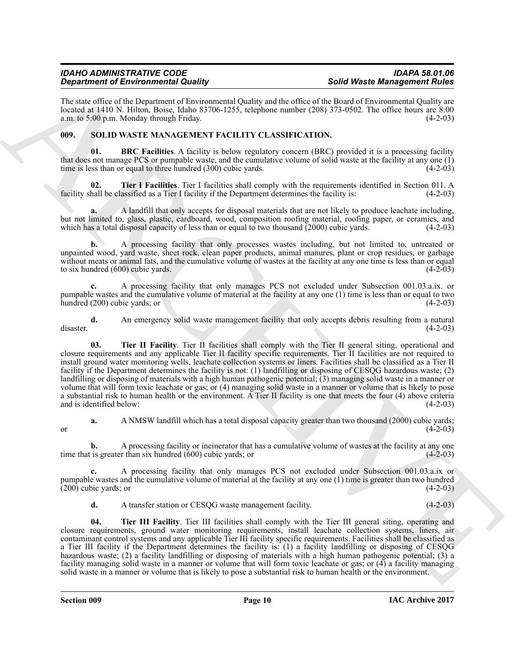The state office of the Department of Environmental Quality and the office of the Board of Environmental Quality are located at 1410 N. Hilton, Boise, Idaho 83706-1255, telephone number (208) 373-0502. The office hours are 8:00 a.m. to 5:00 p.m. Monday through Friday. (4-2-03) a.m. to  $5:00$  p.m. Monday through Friday.

### <span id="page-9-1"></span><span id="page-9-0"></span>**009. SOLID WASTE MANAGEMENT FACILITY CLASSIFICATION.**

<span id="page-9-2"></span>**01. BRC Facilities**. A facility is below regulatory concern (BRC) provided it is a processing facility that does not manage PCS or pumpable waste, and the cumulative volume of solid waste at the facility at any one (1) time is less than or equal to three hundred (300) cubic yards. (4-2-03)

<span id="page-9-3"></span>**02. Tier I Facilities**. Tier I facilities shall comply with the requirements identified in Section 011. A hall be classified as a Tier I facility if the Department determines the facility is: (4-2-03) facility shall be classified as a Tier I facility if the Department determines the facility is:

**a.** A landfill that only accepts for disposal materials that are not likely to produce leachate including, but not limited to, glass, plastic, cardboard, wood, composition roofing material, roofing paper, or ceramics, and which has a total disposal capacity of less than or equal to two thousand  $(2000)$  cubic yards.  $(4-2-03)$ 

**b.** A processing facility that only processes wastes including, but not limited to, untreated or unpainted wood, yard waste, sheet rock, clean paper products, animal manures, plant or crop residues, or garbage without meats or animal fats, and the cumulative volume of wastes at the facility at any one time is less than or equal to six hundred (600) cubic vards. to six hundred  $(600)$  cubic yards.

**c.** A processing facility that only manages PCS not excluded under Subsection 001.03.a.ix. or pumpable wastes and the cumulative volume of material at the facility at any one (1) time is less than or equal to two  $hundred (200) cubic yards; or$  (4-2-03)

<span id="page-9-4"></span>**d.** An emergency solid waste management facility that only accepts debris resulting from a natural (4-2-03) disaster. (4-2-03)

**Statistics of Environmental Reading that we are all the statistics and the statistics of the statistics of the statistics of the statistics of the statistics of the statistics of the statistics of the statistics of the s 03.** Tier II Facility. Tier II facilities shall comply with the Tier II general siting, operational and closure requirements and any applicable Tier II facility specific requirements. Tier II facilities are not required to install ground water monitoring wells, leachate collection systems or liners. Facilities shall be classified as a Tier II facility if the Department determines the facility is not: (1) landfilling or disposing of CESQG hazardous waste; (2) landfilling or disposing of materials with a high human pathogenic potential; (3) managing solid waste in a manner or volume that will form toxic leachate or gas; or (4) managing solid waste in a manner or volume that is likely to pose a substantial risk to human health or the environment. A Tier II facility is one that meets the four (4) above criteria and is identified below: (4-2-03)

**a.** A NMSW landfill which has a total disposal capacity greater than two thousand (2000) cubic yards;<br>(4-2-03) or  $(4-2-03)$ 

**b.** A processing facility or incinerator that has a cumulative volume of wastes at the facility at any one time that is greater than six hundred (600) cubic yards; or (4-2-03)

**c.** A processing facility that only manages PCS not excluded under Subsection 001.03.a.ix or pumpable wastes and the cumulative volume of material at the facility at any one (1) time is greater than two hundred (200) cubic vards; or  $(4-2-03)$  $(200)$  cubic yards; or

<span id="page-9-5"></span>**d.** A transfer station or CESQG waste management facility. (4-2-03)

**04. Tier III Facility**. Tier III facilities shall comply with the Tier III general siting, operating and closure requirements, ground water monitoring requirements, install leachate collection systems, liners, air contaminant control systems and any applicable Tier III facility specific requirements. Facilities shall be classified as a Tier III facility if the Department determines the facility is: (1) a facility landfilling or disposing of CESQG hazardous waste; (2) a facility landfilling or disposing of materials with a high human pathogenic potential; (3) a facility managing solid waste in a manner or volume that will form toxic leachate or gas; or (4) a facility managing solid waste in a manner or volume that is likely to pose a substantial risk to human health or the environment.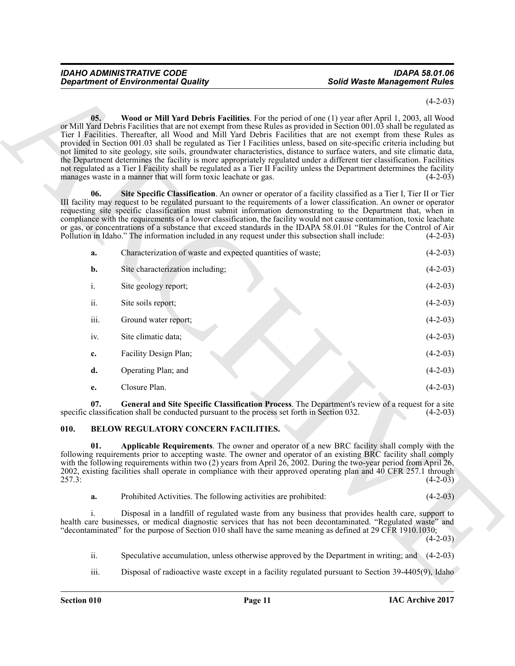<span id="page-10-5"></span><span id="page-10-4"></span>

|               | <b>Department of Environmental Quality</b>                                                            | <b>Solid Waste Management Rules</b>                                                                                                                                                                                                                                                                                                                                                                                                                                                                                                                                                                                                                                                                                                                                                                                                                               |            |
|---------------|-------------------------------------------------------------------------------------------------------|-------------------------------------------------------------------------------------------------------------------------------------------------------------------------------------------------------------------------------------------------------------------------------------------------------------------------------------------------------------------------------------------------------------------------------------------------------------------------------------------------------------------------------------------------------------------------------------------------------------------------------------------------------------------------------------------------------------------------------------------------------------------------------------------------------------------------------------------------------------------|------------|
|               |                                                                                                       |                                                                                                                                                                                                                                                                                                                                                                                                                                                                                                                                                                                                                                                                                                                                                                                                                                                                   | $(4-2-03)$ |
| 05.           | manages waste in a manner that will form toxic leachate or gas.                                       | Wood or Mill Yard Debris Facilities. For the period of one (1) year after April 1, 2003, all Wood<br>or Mill Yard Debris Facilities that are not exempt from these Rules as provided in Section 001.03 shall be regulated as<br>Tier I Facilities. Thereafter, all Wood and Mill Yard Debris Facilities that are not exempt from these Rules as<br>provided in Section 001.03 shall be regulated as Tier I Facilities unless, based on site-specific criteria including but<br>not limited to site geology, site soils, groundwater characteristics, distance to surface waters, and site climatic data,<br>the Department determines the facility is more appropriately regulated under a different tier classification. Facilities<br>not regulated as a Tier I Facility shall be regulated as a Tier II Facility unless the Department determines the facility | $(4-2-03)$ |
| 06.           | Pollution in Idaho." The information included in any request under this subsection shall include:     | Site Specific Classification. An owner or operator of a facility classified as a Tier I, Tier II or Tier<br>III facility may request to be regulated pursuant to the requirements of a lower classification. An owner or operator<br>requesting site specific classification must submit information demonstrating to the Department that, when in<br>compliance with the requirements of a lower classification, the facility would not cause contamination, toxic leachate<br>or gas, or concentrations of a substance that exceed standards in the IDAPA 58.01.01 "Rules for the Control of Air                                                                                                                                                                                                                                                                | $(4-2-03)$ |
| a.            | Characterization of waste and expected quantities of waste;                                           |                                                                                                                                                                                                                                                                                                                                                                                                                                                                                                                                                                                                                                                                                                                                                                                                                                                                   | $(4-2-03)$ |
| b.            | Site characterization including;                                                                      |                                                                                                                                                                                                                                                                                                                                                                                                                                                                                                                                                                                                                                                                                                                                                                                                                                                                   | $(4-2-03)$ |
| $i$ .         | Site geology report;                                                                                  |                                                                                                                                                                                                                                                                                                                                                                                                                                                                                                                                                                                                                                                                                                                                                                                                                                                                   | $(4-2-03)$ |
| ii.           | Site soils report;                                                                                    |                                                                                                                                                                                                                                                                                                                                                                                                                                                                                                                                                                                                                                                                                                                                                                                                                                                                   | $(4-2-03)$ |
| iii.          | Ground water report;                                                                                  |                                                                                                                                                                                                                                                                                                                                                                                                                                                                                                                                                                                                                                                                                                                                                                                                                                                                   | $(4-2-03)$ |
| iv.           | Site climatic data;                                                                                   |                                                                                                                                                                                                                                                                                                                                                                                                                                                                                                                                                                                                                                                                                                                                                                                                                                                                   | $(4-2-03)$ |
| c.            | Facility Design Plan;                                                                                 |                                                                                                                                                                                                                                                                                                                                                                                                                                                                                                                                                                                                                                                                                                                                                                                                                                                                   | $(4-2-03)$ |
| d.            | Operating Plan; and                                                                                   |                                                                                                                                                                                                                                                                                                                                                                                                                                                                                                                                                                                                                                                                                                                                                                                                                                                                   | $(4-2-03)$ |
| е.            | Closure Plan.                                                                                         |                                                                                                                                                                                                                                                                                                                                                                                                                                                                                                                                                                                                                                                                                                                                                                                                                                                                   | $(4-2-03)$ |
| 07.           | specific classification shall be conducted pursuant to the process set forth in Section 032.          | General and Site Specific Classification Process. The Department's review of a request for a site                                                                                                                                                                                                                                                                                                                                                                                                                                                                                                                                                                                                                                                                                                                                                                 | $(4-2-03)$ |
| 010.          | BELOW REGULATORY CONCERN FACILITIES.                                                                  |                                                                                                                                                                                                                                                                                                                                                                                                                                                                                                                                                                                                                                                                                                                                                                                                                                                                   |            |
| 01.<br>257.3: |                                                                                                       | Applicable Requirements. The owner and operator of a new BRC facility shall comply with the<br>following requirements prior to accepting waste. The owner and operator of an existing BRC facility shall comply<br>with the following requirements within two (2) years from April 26, 2002. During the two-year period from April 26,<br>2002, existing facilities shall operate in compliance with their approved operating plan and 40 CFR 257.1 through                                                                                                                                                                                                                                                                                                                                                                                                       | $(4-2-03)$ |
| a.            | Prohibited Activities. The following activities are prohibited:                                       |                                                                                                                                                                                                                                                                                                                                                                                                                                                                                                                                                                                                                                                                                                                                                                                                                                                                   | $(4-2-03)$ |
| i.            |                                                                                                       | Disposal in a landfill of regulated waste from any business that provides health care, support to<br>health care businesses, or medical diagnostic services that has not been decontaminated. "Regulated waste" and<br>"decontaminated" for the purpose of Section 010 shall have the same meaning as defined at 29 CFR 1910.1030;                                                                                                                                                                                                                                                                                                                                                                                                                                                                                                                                | $(4-2-03)$ |
| ii.           |                                                                                                       | Speculative accumulation, unless otherwise approved by the Department in writing; and (4-2-03)                                                                                                                                                                                                                                                                                                                                                                                                                                                                                                                                                                                                                                                                                                                                                                    |            |
| iii.          | Disposal of radioactive waste except in a facility regulated pursuant to Section $39-4405(9)$ , Idaho |                                                                                                                                                                                                                                                                                                                                                                                                                                                                                                                                                                                                                                                                                                                                                                                                                                                                   |            |

#### <span id="page-10-3"></span><span id="page-10-2"></span><span id="page-10-1"></span><span id="page-10-0"></span>**010. BELOW REGULATORY CONCERN FACILITIES.**

| a. | Prohibited Activities. The following activities are prohibited: | $(4-2-03)$ |  |
|----|-----------------------------------------------------------------|------------|--|
|----|-----------------------------------------------------------------|------------|--|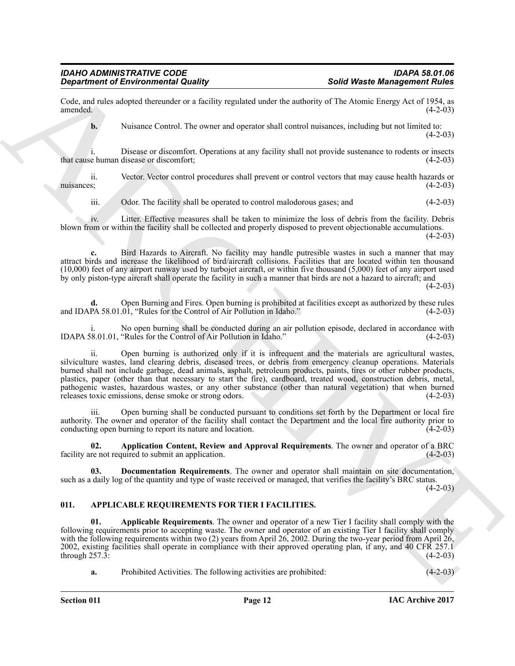Code, and rules adopted thereunder or a facility regulated under the authority of The Atomic Energy Act of 1954, as  $(4-2-03)$ 

**b.** Nuisance Control. The owner and operator shall control nuisances, including but not limited to:  $(4-2-03)$ 

i. Disease or discomfort. Operations at any facility shall not provide sustenance to rodents or insects that cause human disease or discomfort;

ii. Vector. Vector control procedures shall prevent or control vectors that may cause health hazards or nuisances;  $(4-2-03)$ 

iii. Odor. The facility shall be operated to control malodorous gases; and (4-2-03)

iv. Litter. Effective measures shall be taken to minimize the loss of debris from the facility. Debris blown from or within the facility shall be collected and properly disposed to prevent objectionable accumulations.  $(4-2-03)$ 

**c.** Bird Hazards to Aircraft. No facility may handle putresible wastes in such a manner that may attract birds and increase the likelihood of bird/aircraft collisions. Facilities that are located within ten thousand (10,000) feet of any airport runway used by turbojet aircraft, or within five thousand (5,000) feet of any airport used by only piston-type aircraft shall operate the facility in such a manner that birds are not a hazard to aircraft; and  $(4-2-03)$ 

Open Burning and Fires. Open burning is prohibited at facilities except as authorized by these rules 0.1. "Rules for the Control of Air Pollution in Idaho." (4-2-03) and IDAPA 58.01.01, "Rules for the Control of Air Pollution in Idaho."

No open burning shall be conducted during an air pollution episode, declared in accordance with "Rules for the Control of Air Pollution in Idaho." (4-2-03) IDAPA 58.01.01, "Rules for the Control of Air Pollution in Idaho."

**Equivalent of Environmental Quality 18.**<br>
Consider the state of the state of the state of the state of the state of the state of the state of the state of the state of the state of the state of the state of the state of ii. Open burning is authorized only if it is infrequent and the materials are agricultural wastes, silviculture wastes, land clearing debris, diseased trees, or debris from emergency cleanup operations. Materials burned shall not include garbage, dead animals, asphalt, petroleum products, paints, tires or other rubber products, plastics, paper (other than that necessary to start the fire), cardboard, treated wood, construction debris, metal, pathogenic wastes, hazardous wastes, or any other substance (other than natural vegetation) that when burned releases toxic emissions, dense smoke or strong odors. (4-2-03) releases toxic emissions, dense smoke or strong odors.

iii. Open burning shall be conducted pursuant to conditions set forth by the Department or local fire authority. The owner and operator of the facility shall contact the Department and the local fire authority prior to conducting open burning to report its nature and location.

<span id="page-11-3"></span>**02. Application Content, Review and Approval Requirements**. The owner and operator of a BRC facility are not required to submit an application. (4-2-03)

<span id="page-11-4"></span>**03. Documentation Requirements**. The owner and operator shall maintain on site documentation, such as a daily log of the quantity and type of waste received or managed, that verifies the facility's BRC status.

 $(4-2-03)$ 

#### <span id="page-11-1"></span><span id="page-11-0"></span>**011. APPLICABLE REQUIREMENTS FOR TIER I FACILITIES.**

<span id="page-11-2"></span>**01. Applicable Requirements**. The owner and operator of a new Tier I facility shall comply with the following requirements prior to accepting waste. The owner and operator of an existing Tier I facility shall comply with the following requirements within two (2) years from April 26, 2002. During the two-year period from April 26, 2002, existing facilities shall operate in compliance with their approved operating plan, if any, and 40 CFR 257.1 through  $257.\overline{3}$ :

**a.** Prohibited Activities. The following activities are prohibited: (4-2-03)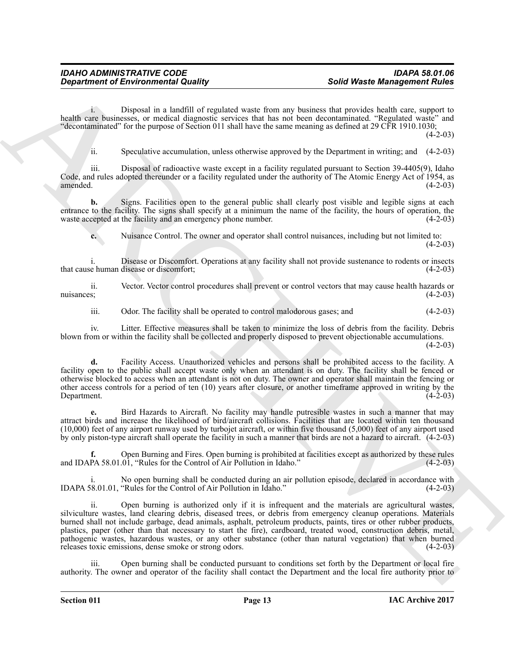i. Disposal in a landfill of regulated waste from any business that provides health care, support to health care businesses, or medical diagnostic services that has not been decontaminated. "Regulated waste" and "decontaminated" for the purpose of Section 011 shall have the same meaning as defined at 29 CFR 1910.1030;

 $(4-2-03)$ 

ii. Speculative accumulation, unless otherwise approved by the Department in writing; and (4-2-03)

iii. Disposal of radioactive waste except in a facility regulated pursuant to Section 39-4405(9), Idaho Code, and rules adopted thereunder or a facility regulated under the authority of The Atomic Energy Act of 1954, as amended. (4-2-03) amended. (4-2-03)

**b.** Signs. Facilities open to the general public shall clearly post visible and legible signs at each entrance to the facility. The signs shall specify at a minimum the name of the facility, the hours of operation, the waste accepted at the facility and an emergency phone number. (4-2-03)

**c.** Nuisance Control. The owner and operator shall control nuisances, including but not limited to:  $(4-2-03)$ 

i. Disease or Discomfort. Operations at any facility shall not provide sustenance to rodents or insects that cause human disease or discomfort;

ii. Vector. Vector control procedures shall prevent or control vectors that may cause health hazards or nuisances;  $(4-2-03)$ 

iii. Odor. The facility shall be operated to control malodorous gases; and (4-2-03)

iv. Litter. Effective measures shall be taken to minimize the loss of debris from the facility. Debris blown from or within the facility shall be collected and properly disposed to prevent objectionable accumulations.

 $(4-2-03)$ 

**d.** Facility Access. Unauthorized vehicles and persons shall be prohibited access to the facility. A facility open to the public shall accept waste only when an attendant is on duty. The facility shall be fenced or otherwise blocked to access when an attendant is not on duty. The owner and operator shall maintain the fencing or other access controls for a period of ten (10) years after closure, or another timeframe approved in writing by the Department. (4-2-03)

**e.** Bird Hazards to Aircraft. No facility may handle putresible wastes in such a manner that may attract birds and increase the likelihood of bird/aircraft collisions. Facilities that are located within ten thousand (10,000) feet of any airport runway used by turbojet aircraft, or within five thousand (5,000) feet of any airport used by only piston-type aircraft shall operate the facility in such a manner that birds are not a hazard to aircraft. (4-2-03)

Open Burning and Fires. Open burning is prohibited at facilities except as authorized by these rules 0.01, "Rules for the Control of Air Pollution in Idaho." (4-2-03) and IDAPA 58.01.01, "Rules for the Control of Air Pollution in Idaho."

No open burning shall be conducted during an air pollution episode, declared in accordance with "Rules for the Control of Air Pollution in Idaho." (4-2-03) IDAPA 58.01.01, "Rules for the Control of Air Pollution in Idaho."

**Solid Vester Gravenmentel Quality .** Solid Water **Management Bulles**<br>
North date behold a simulation consider the simulation of the simulation of the simulation of the simulation of the simulation of the simulation of th ii. Open burning is authorized only if it is infrequent and the materials are agricultural wastes, silviculture wastes, land clearing debris, diseased trees, or debris from emergency cleanup operations. Materials burned shall not include garbage, dead animals, asphalt, petroleum products, paints, tires or other rubber products, plastics, paper (other than that necessary to start the fire), cardboard, treated wood, construction debris, metal, pathogenic wastes, hazardous wastes, or any other substance (other than natural vegetation) that when burned releases toxic emissions, dense smoke or strong odors. (4-2-03) releases toxic emissions, dense smoke or strong odors.

Open burning shall be conducted pursuant to conditions set forth by the Department or local fire authority. The owner and operator of the facility shall contact the Department and the local fire authority prior to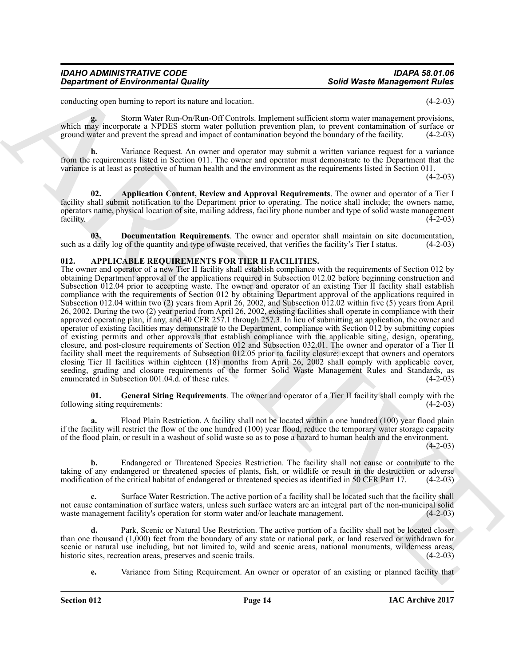conducting open burning to report its nature and location. (4-2-03)

**g.** Storm Water Run-On/Run-Off Controls. Implement sufficient storm water management provisions, which may incorporate a NPDES storm water pollution prevention plan, to prevent contamination of surface or ground water and prevent the spread and impact of contamination beyond the boundary of the facility. (4-2-03)

**h.** Variance Request. An owner and operator may submit a written variance request for a variance from the requirements listed in Section 011. The owner and operator must demonstrate to the Department that the variance is at least as protective of human health and the environment as the requirements listed in Section 011.

 $(4-2-03)$ 

<span id="page-13-1"></span>**02. Application Content, Review and Approval Requirements**. The owner and operator of a Tier I facility shall submit notification to the Department prior to operating. The notice shall include; the owners name, operators name, physical location of site, mailing address, facility phone number and type of solid waste management facility. (4-2-03)

<span id="page-13-2"></span>**03. Documentation Requirements**. The owner and operator shall maintain on site documentation, daily log of the quantity and type of waste received, that verifies the facility's Tier I status. (4-2-03) such as a daily log of the quantity and type of waste received, that verifies the facility's Tier I status.

#### <span id="page-13-3"></span><span id="page-13-0"></span>**012. APPLICABLE REQUIREMENTS FOR TIER II FACILITIES.**

**Solid Water Meridian in the United Solution**<br>
Solid Water Meridian Counter of the Counter of the United Solid Counter of the Counter of the Counter of the Counter of the Counter of the Counter of the Counter of the Count The owner and operator of a new Tier II facility shall establish compliance with the requirements of Section 012 by obtaining Department approval of the applications required in Subsection 012.02 before beginning construction and Subsection 012.04 prior to accepting waste. The owner and operator of an existing Tier II facility shall establish compliance with the requirements of Section 012 by obtaining Department approval of the applications required in Subsection 012.04 within two (2) years from April 26, 2002, and Subsection 012.02 within five (5) years from April 26, 2002. During the two (2) year period from April 26, 2002, existing facilities shall operate in compliance with their approved operating plan, if any, and 40 CFR 257.1 through 257.3. In lieu of submitting an application, the owner and operator of existing facilities may demonstrate to the Department, compliance with Section 012 by submitting copies of existing permits and other approvals that establish compliance with the applicable siting, design, operating, closure, and post-closure requirements of Section 012 and Subsection 032.01. The owner and operator of a Tier II facility shall meet the requirements of Subsection 012.05 prior to facility closure; except that owners and operators closing Tier II facilities within eighteen (18) months from April 26, 2002 shall comply with applicable cover, seeding, grading and closure requirements of the former Solid Waste Management Rules and Standards, as enumerated in Subsection 001.04.d. of these rules. (4-2-03)

<span id="page-13-4"></span>**01. General Siting Requirements**. The owner and operator of a Tier II facility shall comply with the following siting requirements: (4-2-03)

Flood Plain Restriction. A facility shall not be located within a one hundred (100) year flood plain if the facility will restrict the flow of the one hundred (100) year flood, reduce the temporary water storage capacity of the flood plain, or result in a washout of solid waste so as to pose a hazard to human health and the environment.

 $(4-2-03)$ 

**b.** Endangered or Threatened Species Restriction. The facility shall not cause or contribute to the taking of any endangered or threatened species of plants, fish, or wildlife or result in the destruction or adverse modification of the critical habitat of endangered or threatened species as identified in 50 CFR Part 17. modification of the critical habitat of endangered or threatened species as identified in 50 CFR Part 17.

**c.** Surface Water Restriction. The active portion of a facility shall be located such that the facility shall not cause contamination of surface waters, unless such surface waters are an integral part of the non-municipal solid waste management facility's operation for storm water and/or leachate management. (4-2-03) waste management facility's operation for storm water and/or leachate management.

Park, Scenic or Natural Use Restriction. The active portion of a facility shall not be located closer than one thousand (1,000) feet from the boundary of any state or national park, or land reserved or withdrawn for scenic or natural use including, but not limited to, wild and scenic areas, national monuments, wilderness areas, historic sites, recreation areas, preserves and scenic trails. (4-2-03) historic sites, recreation areas, preserves and scenic trails.

**e.** Variance from Siting Requirement. An owner or operator of an existing or planned facility that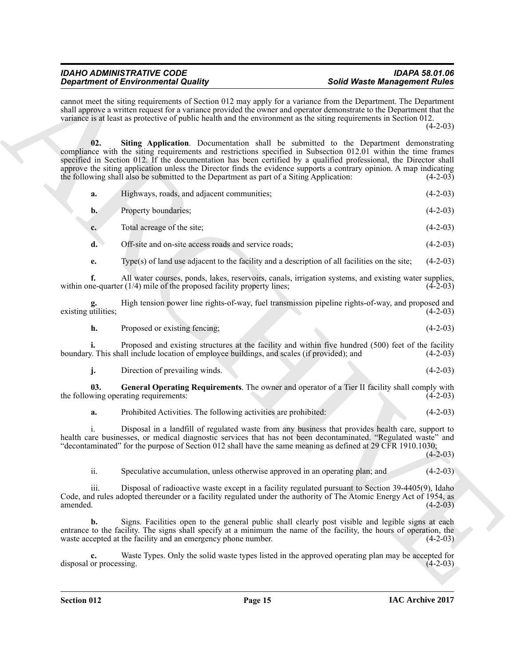<span id="page-14-1"></span>

| <b>Department of Environmental Quality</b>                                                                                                                                                                                                                                                                                                                                                                                                                                                                                                            | <b>Solid Waste Management Rules</b> |
|-------------------------------------------------------------------------------------------------------------------------------------------------------------------------------------------------------------------------------------------------------------------------------------------------------------------------------------------------------------------------------------------------------------------------------------------------------------------------------------------------------------------------------------------------------|-------------------------------------|
| cannot meet the siting requirements of Section 012 may apply for a variance from the Department. The Department<br>shall approve a written request for a variance provided the owner and operator demonstrate to the Department that the<br>variance is at least as protective of public health and the environment as the siting requirements in Section 012.                                                                                                                                                                                        | $(4-2-03)$                          |
| 02.<br>Siting Application. Documentation shall be submitted to the Department demonstrating<br>compliance with the siting requirements and restrictions specified in Subsection 012.01 within the time frames<br>specified in Section 012. If the documentation has been certified by a qualified professional, the Director shall<br>approve the siting application unless the Director finds the evidence supports a contrary opinion. A map indicating<br>the following shall also be submitted to the Department as part of a Siting Application: | $(4-2-03)$                          |
| Highways, roads, and adjacent communities;<br>a.                                                                                                                                                                                                                                                                                                                                                                                                                                                                                                      | $(4-2-03)$                          |
| Property boundaries;<br>$\mathbf{b}$ .                                                                                                                                                                                                                                                                                                                                                                                                                                                                                                                | $(4-2-03)$                          |
| Total acreage of the site;<br>c.                                                                                                                                                                                                                                                                                                                                                                                                                                                                                                                      | $(4-2-03)$                          |
| d.<br>Off-site and on-site access roads and service roads;                                                                                                                                                                                                                                                                                                                                                                                                                                                                                            | $(4-2-03)$                          |
| $Type(s)$ of land use adjacent to the facility and a description of all facilities on the site;<br>e.                                                                                                                                                                                                                                                                                                                                                                                                                                                 | $(4-2-03)$                          |
| All water courses, ponds, lakes, reservoirs, canals, irrigation systems, and existing water supplies,<br>f.<br>within one-quarter $(1/4)$ mile of the proposed facility property lines;                                                                                                                                                                                                                                                                                                                                                               | $(4-2-03)$                          |
| High tension power line rights-of-way, fuel transmission pipeline rights-of-way, and proposed and<br>existing utilities;                                                                                                                                                                                                                                                                                                                                                                                                                              | $(4-2-03)$                          |
| Proposed or existing fencing;<br>h.                                                                                                                                                                                                                                                                                                                                                                                                                                                                                                                   | $(4-2-03)$                          |
| Proposed and existing structures at the facility and within five hundred (500) feet of the facility<br>boundary. This shall include location of employee buildings, and scales (if provided); and                                                                                                                                                                                                                                                                                                                                                     | $(4-2-03)$                          |
| Direction of prevailing winds.<br>j.                                                                                                                                                                                                                                                                                                                                                                                                                                                                                                                  | $(4-2-03)$                          |
| General Operating Requirements. The owner and operator of a Tier II facility shall comply with<br>03.<br>the following operating requirements:                                                                                                                                                                                                                                                                                                                                                                                                        | $(4-2-03)$                          |
| Prohibited Activities. The following activities are prohibited:<br>a.                                                                                                                                                                                                                                                                                                                                                                                                                                                                                 | $(4-2-03)$                          |
| Disposal in a landfill of regulated waste from any business that provides health care, support to<br>health care businesses, or medical diagnostic services that has not been decontaminated. "Regulated waste" and<br>"decontaminated" for the purpose of Section 012 shall have the same meaning as defined at 29 CFR 1910.1030;                                                                                                                                                                                                                    | $(4-2-03)$                          |
| ii.<br>Speculative accumulation, unless otherwise approved in an operating plan; and                                                                                                                                                                                                                                                                                                                                                                                                                                                                  | $(4-2-03)$                          |
| iii.<br>Disposal of radioactive waste except in a facility regulated pursuant to Section 39-4405(9), Idaho<br>Code, and rules adopted thereunder or a facility regulated under the authority of The Atomic Energy Act of 1954, as<br>amended.                                                                                                                                                                                                                                                                                                         | $(4-2-03)$                          |
| Signs. Facilities open to the general public shall clearly post visible and legible signs at each<br>b.<br>entrance to the facility. The signs shall specify at a minimum the name of the facility, the hours of operation, the<br>waste accepted at the facility and an emergency phone number.                                                                                                                                                                                                                                                      | $(4-2-03)$                          |
| Waste Types. Only the solid waste types listed in the approved operating plan may be accepted for<br>c.<br>disposal or processing.                                                                                                                                                                                                                                                                                                                                                                                                                    | $(4-2-03)$                          |
|                                                                                                                                                                                                                                                                                                                                                                                                                                                                                                                                                       |                                     |

|  | Proposed or existing fencing; |  | $(4-2-03)$ |
|--|-------------------------------|--|------------|
|--|-------------------------------|--|------------|

<span id="page-14-0"></span>

|  | Direction of prevailing winds. |  |  | $(4-2-03)$ |  |
|--|--------------------------------|--|--|------------|--|
|  |                                |  |  |            |  |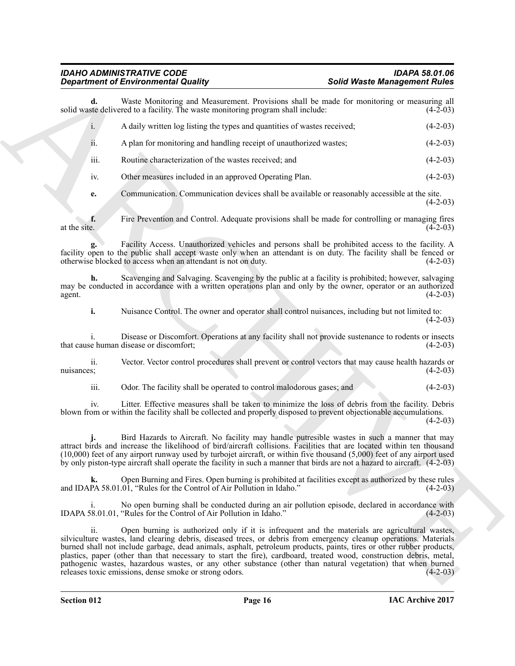**Equivariant of Environmental Columns** (Some United Water **Management Replacement Source Columns** and the same standard and the same standard and the same standard and the same standard and the same standard and the same **d.** Waste Monitoring and Measurement. Provisions shall be made for monitoring or measuring all ste delivered to a facility. The waste monitoring program shall include: (4-2-03) solid waste delivered to a facility. The waste monitoring program shall include: i. A daily written log listing the types and quantities of wastes received; (4-2-03) ii. A plan for monitoring and handling receipt of unauthorized wastes; (4-2-03) iii. Routine characterization of the wastes received; and (4-2-03) iv. Other measures included in an approved Operating Plan. (4-2-03) **e.** Communication. Communication devices shall be available or reasonably accessible at the site. (4-2-03) **f.** Fire Prevention and Control. Adequate provisions shall be made for controlling or managing fires at the site. (4-2-03) at the site.  $(4-2-03)$ **g.** Facility Access. Unauthorized vehicles and persons shall be prohibited access to the facility. A facility open to the public shall accept waste only when an attendant is on duty. The facility shall be fenced or otherwise blocked to access when an attendant is not on duty. otherwise blocked to access when an attendant is not on duty.

**h.** Scavenging and Salvaging. Scavenging by the public at a facility is prohibited; however, salvaging may be conducted in accordance with a written operations plan and only by the owner, operator or an authorized agent. (4-2-03) agent.  $(4-2-03)$ 

**i.** Nuisance Control. The owner and operator shall control nuisances, including but not limited to:  $(4-2-03)$ 

i. Disease or Discomfort. Operations at any facility shall not provide sustenance to rodents or insects that cause human disease or discomfort;

ii. Vector. Vector control procedures shall prevent or control vectors that may cause health hazards or nuisances;  $(4-2-03)$ 

iii. Odor. The facility shall be operated to control malodorous gases; and (4-2-03)

iv. Litter. Effective measures shall be taken to minimize the loss of debris from the facility. Debris blown from or within the facility shall be collected and properly disposed to prevent objectionable accumulations.

 $(4-2-03)$ 

**j.** Bird Hazards to Aircraft. No facility may handle putresible wastes in such a manner that may attract birds and increase the likelihood of bird/aircraft collisions. Facilities that are located within ten thousand (10,000) feet of any airport runway used by turbojet aircraft, or within five thousand (5,000) feet of any airport used by only piston-type aircraft shall operate the facility in such a manner that birds are not a hazard to aircraft. (4-2-03)

Open Burning and Fires. Open burning is prohibited at facilities except as authorized by these rules 0.01, "Rules for the Control of Air Pollution in Idaho." (4-2-03) and IDAPA 58.01.01, "Rules for the Control of Air Pollution in Idaho."

No open burning shall be conducted during an air pollution episode, declared in accordance with "Rules for the Control of Air Pollution in Idaho." (4-2-03) IDAPA 58.01.01, "Rules for the Control of Air Pollution in Idaho."

Open burning is authorized only if it is infrequent and the materials are agricultural wastes, silviculture wastes, land clearing debris, diseased trees, or debris from emergency cleanup operations. Materials burned shall not include garbage, dead animals, asphalt, petroleum products, paints, tires or other rubber products, plastics, paper (other than that necessary to start the fire), cardboard, treated wood, construction debris, metal, pathogenic wastes, hazardous wastes, or any other substance (other than natural vegetation) that when burned releases toxic emissions, dense smoke or strong odors. (4-2-03) releases toxic emissions, dense smoke or strong odors.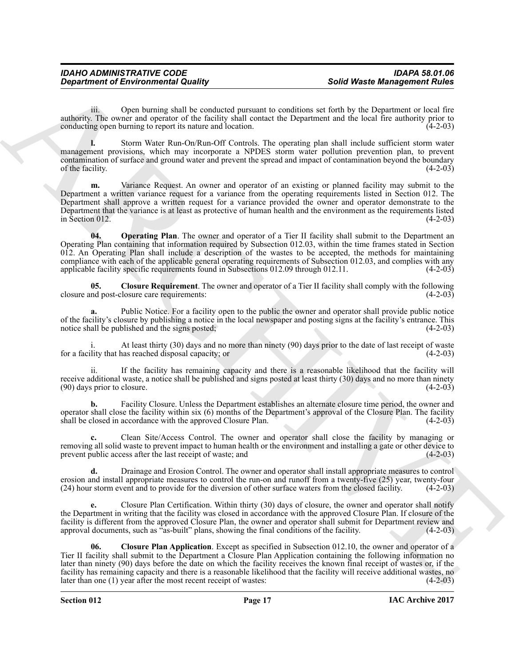iii. Open burning shall be conducted pursuant to conditions set forth by the Department or local fire authority. The owner and operator of the facility shall contact the Department and the local fire authority prior to conducting open burning to report its nature and location.

**l.** Storm Water Run-On/Run-Off Controls. The operating plan shall include sufficient storm water management provisions, which may incorporate a NPDES storm water pollution prevention plan, to prevent contamination of surface and ground water and prevent the spread and impact of contamination beyond the boundary<br>of the facility. (4-2-03) of the facility.  $(4-2-03)$ 

<span id="page-16-2"></span>**m.** Variance Request. An owner and operator of an existing or planned facility may submit to the Department a written variance request for a variance from the operating requirements listed in Section 012. The Department shall approve a written request for a variance provided the owner and operator demonstrate to the Department that the variance is at least as protective of human health and the environment as the requirements listed  $\frac{1}{2}$  in Section 012. (4-2-03)

**Solution of Environmental Quality and the control particular solution and Moral Control and Solution and Solution and Solution and Solution and Solution and Solution and Solution and Solution and Solution and Solution an 04. Operating Plan**. The owner and operator of a Tier II facility shall submit to the Department an Operating Plan containing that information required by Subsection 012.03, within the time frames stated in Section 012. An Operating Plan shall include a description of the wastes to be accepted, the methods for maintaining compliance with each of the applicable general operating requirements of Subsection 012.03, and complies with any applicable facility specific requirements found in Subsections 012.09 through 012.11. (4-2-03)

<span id="page-16-1"></span>**05.** Closure Requirement. The owner and operator of a Tier II facility shall comply with the following nd post-closure care requirements:  $(4-2-03)$ closure and post-closure care requirements:

**a.** Public Notice. For a facility open to the public the owner and operator shall provide public notice of the facility's closure by publishing a notice in the local newspaper and posting signs at the facility's entrance. This notice shall be published and the signs posted; (4-2-03) notice shall be published and the signs posted;

At least thirty (30) days and no more than ninety (90) days prior to the date of last receipt of waste<br>has reached disposal capacity; or for a facility that has reached disposal capacity; or

If the facility has remaining capacity and there is a reasonable likelihood that the facility will receive additional waste, a notice shall be published and signs posted at least thirty (30) days and no more than ninety (90) days prior to closure.  $(90)$  days prior to closure.

**b.** Facility Closure. Unless the Department establishes an alternate closure time period, the owner and operator shall close the facility within six (6) months of the Department's approval of the Closure Plan. The facility shall be closed in accordance with the approved Closure Plan. (4-2-03)

**c.** Clean Site/Access Control. The owner and operator shall close the facility by managing or removing all solid waste to prevent impact to human health or the environment and installing a gate or other device to prevent public access after the last receipt of waste; and (4-2-03)

**d.** Drainage and Erosion Control. The owner and operator shall install appropriate measures to control erosion and install appropriate measures to control the run-on and runoff from a twenty-five (25) year, twenty-four (24) hour storm event and to provide for the diversion of other surface waters from the closed facility. ( (24) hour storm event and to provide for the diversion of other surface waters from the closed facility.

**e.** Closure Plan Certification. Within thirty (30) days of closure, the owner and operator shall notify the Department in writing that the facility was closed in accordance with the approved Closure Plan. If closure of the facility is different from the approved Closure Plan, the owner and operator shall submit for Department review and approval documents, such as "as-built" plans, showing the final conditions of the facility. (4-2-03)

<span id="page-16-0"></span>**06. Closure Plan Application**. Except as specified in Subsection 012.10, the owner and operator of a Tier II facility shall submit to the Department a Closure Plan Application containing the following information no later than ninety (90) days before the date on which the facility receives the known final receipt of wastes or, if the facility has remaining capacity and there is a reasonable likelihood that the facility will receive additional wastes, no later than one (1) year after the most recent receipt of wastes: (4-2-03)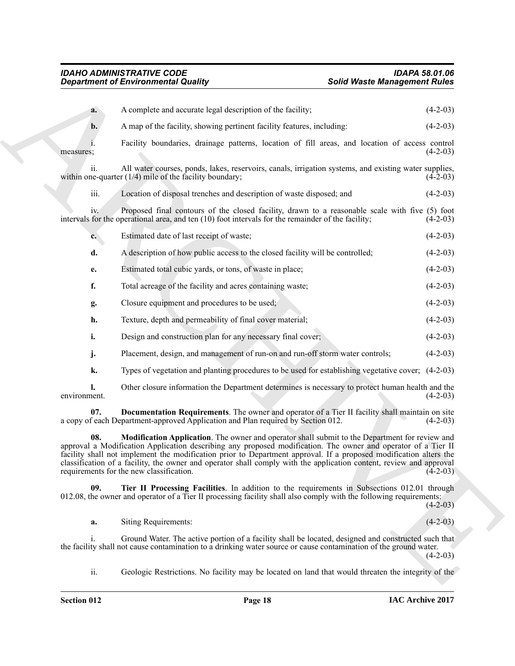<span id="page-17-2"></span><span id="page-17-1"></span><span id="page-17-0"></span>

|                | <b>Department of Environmental Quality</b>                                                                                                                                                                                                                                                                                                                                                                                                                                                              | <b>Solid Waste Management Rules</b> |            |  |
|----------------|---------------------------------------------------------------------------------------------------------------------------------------------------------------------------------------------------------------------------------------------------------------------------------------------------------------------------------------------------------------------------------------------------------------------------------------------------------------------------------------------------------|-------------------------------------|------------|--|
| a.             | A complete and accurate legal description of the facility;                                                                                                                                                                                                                                                                                                                                                                                                                                              |                                     | $(4-2-03)$ |  |
| $b$ .          | A map of the facility, showing pertinent facility features, including:                                                                                                                                                                                                                                                                                                                                                                                                                                  |                                     | $(4-2-03)$ |  |
| measures;      | Facility boundaries, drainage patterns, location of fill areas, and location of access control                                                                                                                                                                                                                                                                                                                                                                                                          |                                     | $(4-2-03)$ |  |
| 11.            | All water courses, ponds, lakes, reservoirs, canals, irrigation systems, and existing water supplies,<br>within one-quarter $(1/4)$ mile of the facility boundary;                                                                                                                                                                                                                                                                                                                                      |                                     | $(4-2-03)$ |  |
| iii.           | Location of disposal trenches and description of waste disposed; and                                                                                                                                                                                                                                                                                                                                                                                                                                    |                                     | $(4-2-03)$ |  |
| iv.            | Proposed final contours of the closed facility, drawn to a reasonable scale with five (5) foot<br>intervals for the operational area, and ten $(10)$ foot intervals for the remainder of the facility;                                                                                                                                                                                                                                                                                                  |                                     | $(4-2-03)$ |  |
| $c_{\bullet}$  | Estimated date of last receipt of waste;                                                                                                                                                                                                                                                                                                                                                                                                                                                                |                                     | $(4-2-03)$ |  |
| d.             | A description of how public access to the closed facility will be controlled;                                                                                                                                                                                                                                                                                                                                                                                                                           |                                     | $(4-2-03)$ |  |
| e.             | Estimated total cubic yards, or tons, of waste in place;                                                                                                                                                                                                                                                                                                                                                                                                                                                |                                     | $(4-2-03)$ |  |
| f.             | Total acreage of the facility and acres containing waste;                                                                                                                                                                                                                                                                                                                                                                                                                                               |                                     | $(4-2-03)$ |  |
| g.             | Closure equipment and procedures to be used;                                                                                                                                                                                                                                                                                                                                                                                                                                                            |                                     | $(4-2-03)$ |  |
| h.             | Texture, depth and permeability of final cover material;                                                                                                                                                                                                                                                                                                                                                                                                                                                |                                     | $(4-2-03)$ |  |
| i.             | Design and construction plan for any necessary final cover;                                                                                                                                                                                                                                                                                                                                                                                                                                             |                                     | $(4-2-03)$ |  |
| j.             | Placement, design, and management of run-on and run-off storm water controls;                                                                                                                                                                                                                                                                                                                                                                                                                           |                                     | $(4-2-03)$ |  |
| k.             | Types of vegetation and planting procedures to be used for establishing vegetative cover; (4-2-03)                                                                                                                                                                                                                                                                                                                                                                                                      |                                     |            |  |
| environment.   | Other closure information the Department determines is necessary to protect human health and the                                                                                                                                                                                                                                                                                                                                                                                                        |                                     | $(4-2-03)$ |  |
| 07.            | Documentation Requirements. The owner and operator of a Tier II facility shall maintain on site<br>a copy of each Department-approved Application and Plan required by Section 012.                                                                                                                                                                                                                                                                                                                     |                                     | $(4-2-03)$ |  |
| 08.            | Modification Application. The owner and operator shall submit to the Department for review and<br>approval a Modification Application describing any proposed modification. The owner and operator of a Tier II<br>facility shall not implement the modification prior to Department approval. If a proposed modification alters the<br>classification of a facility, the owner and operator shall comply with the application content, review and approval<br>requirements for the new classification. |                                     | $(4-2-03)$ |  |
| 09.            | Tier II Processing Facilities. In addition to the requirements in Subsections 012.01 through<br>012.08, the owner and operator of a Tier II processing facility shall also comply with the following requirements:                                                                                                                                                                                                                                                                                      |                                     | $(4-2-03)$ |  |
| a.             | Siting Requirements:                                                                                                                                                                                                                                                                                                                                                                                                                                                                                    |                                     | $(4-2-03)$ |  |
| $\mathbf{i}$ . | Ground Water. The active portion of a facility shall be located, designed and constructed such that<br>the facility shall not cause contamination to a drinking water source or cause contamination of the ground water.                                                                                                                                                                                                                                                                                |                                     | $(4-2-03)$ |  |
| ii.            | Geologic Restrictions. No facility may be located on land that would threaten the integrity of the                                                                                                                                                                                                                                                                                                                                                                                                      |                                     |            |  |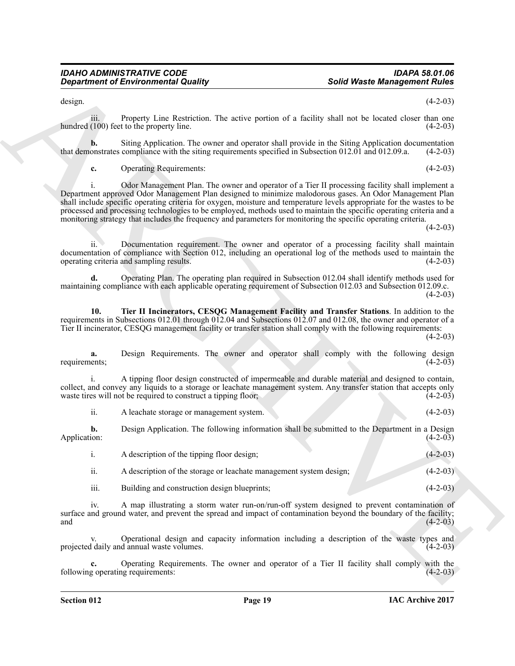design.  $(4-2-03)$ 

iii. Property Line Restriction. The active portion of a facility shall not be located closer than one hundred (100) feet to the property line. (4-2-03)

**b.** Siting Application. The owner and operator shall provide in the Siting Application documentation onstrates compliance with the siting requirements specified in Subsection 012.01 and 012.09.a. (4-2-03) that demonstrates compliance with the siting requirements specified in Subsection 012.01 and 012.09.a.

**c.** Operating Requirements: (4-2-03)

**Solid Weath Americanne of Environmental Quality (Solid Weath Americanne in the Context of the CF-201<br>
Solid Weath Americanne in the CF-201<br>
Solid Weath Americanne in the CF-201<br>
Solid Section Americanne in the CF-201<br>
So** i. Odor Management Plan. The owner and operator of a Tier II processing facility shall implement a Department approved Odor Management Plan designed to minimize malodorous gases. An Odor Management Plan shall include specific operating criteria for oxygen, moisture and temperature levels appropriate for the wastes to be processed and processing technologies to be employed, methods used to maintain the specific operating criteria and a monitoring strategy that includes the frequency and parameters for monitoring the specific operating criteria.

 $(4-2-03)$ 

ii. Documentation requirement. The owner and operator of a processing facility shall maintain documentation of compliance with Section 012, including an operational log of the methods used to maintain the operating criteria and sampling results. (4-2-03) operating criteria and sampling results.

**d.** Operating Plan. The operating plan required in Subsection 012.04 shall identify methods used for maintaining compliance with each applicable operating requirement of Subsection 012.03 and Subsection 012.09.c.  $(4-2-03)$ 

<span id="page-18-0"></span>**10. Tier II Incinerators, CESQG Management Facility and Transfer Stations**. In addition to the requirements in Subsections 012.01 through 012.04 and Subsections 012.07 and 012.08, the owner and operator of a Tier II incinerator, CESQG management facility or transfer station shall comply with the following requirements:

 $(4-2-03)$ 

**a.** Design Requirements. The owner and operator shall comply with the following design requirements; (4-2-03) requirements; (4-2-03)

i. A tipping floor design constructed of impermeable and durable material and designed to contain, collect, and convey any liquids to a storage or leachate management system. Any transfer station that accepts only waste tires will not be required to construct a tipping floor;

ii. A leachate storage or management system. (4-2-03)

**b.** Design Application. The following information shall be submitted to the Department in a Design Application: (4-2-03) Application: (4-2-03)

|               | A description of the tipping floor design;                         | $(4-2-03)$ |
|---------------|--------------------------------------------------------------------|------------|
| $\cdot \cdot$ | A description of the storage or leachate management system design; | $(4-2-03)$ |

iii. Building and construction design blueprints; (4-2-03)

iv. A map illustrating a storm water run-on/run-off system designed to prevent contamination of surface and ground water, and prevent the spread and impact of contamination beyond the boundary of the facility; and (4-2-03)  $(4-2-03)$ 

v. Operational design and capacity information including a description of the waste types and projected daily and annual waste volumes. (4-2-03)

Operating Requirements. The owner and operator of a Tier II facility shall comply with the prequirements: (4-2-03) following operating requirements: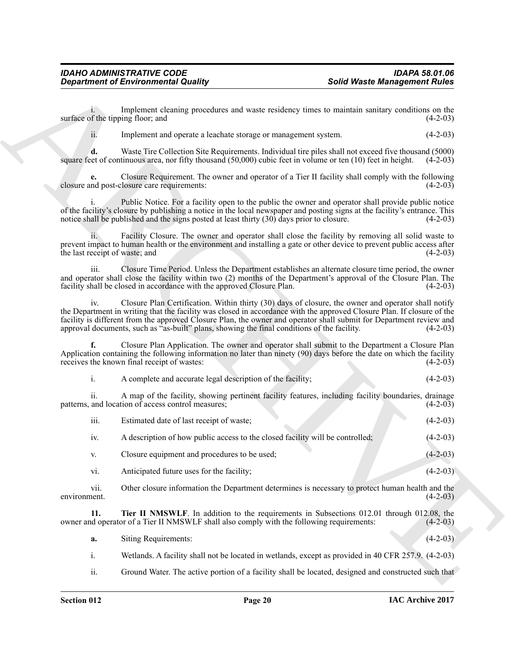<span id="page-19-0"></span>

| A complete and accurate legal description of the facility; | $(4-2-03)$ |
|------------------------------------------------------------|------------|
|                                                            |            |

|                                | <b>Department of Environmental Quality</b>                                                                                                                                                                                                                                                                                                                                                                                                          | <b>Solid Waste Management Rules</b> |            |
|--------------------------------|-----------------------------------------------------------------------------------------------------------------------------------------------------------------------------------------------------------------------------------------------------------------------------------------------------------------------------------------------------------------------------------------------------------------------------------------------------|-------------------------------------|------------|
|                                | Implement cleaning procedures and waste residency times to maintain sanitary conditions on the<br>surface of the tipping floor; and                                                                                                                                                                                                                                                                                                                 |                                     | $(4-2-03)$ |
| ii.                            | Implement and operate a leachate storage or management system.                                                                                                                                                                                                                                                                                                                                                                                      |                                     | $(4-2-03)$ |
| d.                             | Waste Tire Collection Site Requirements. Individual tire piles shall not exceed five thousand (5000)<br>square feet of continuous area, nor fifty thousand $(50,000)$ cubic feet in volume or ten $(10)$ feet in height.                                                                                                                                                                                                                            |                                     | $(4-2-03)$ |
|                                | Closure Requirement. The owner and operator of a Tier II facility shall comply with the following<br>closure and post-closure care requirements:                                                                                                                                                                                                                                                                                                    |                                     | $(4-2-03)$ |
|                                | Public Notice. For a facility open to the public the owner and operator shall provide public notice<br>of the facility's closure by publishing a notice in the local newspaper and posting signs at the facility's entrance. This<br>notice shall be published and the signs posted at least thirty (30) days prior to closure.                                                                                                                     |                                     | $(4-2-03)$ |
| the last receipt of waste; and | Facility Closure. The owner and operator shall close the facility by removing all solid waste to<br>prevent impact to human health or the environment and installing a gate or other device to prevent public access after                                                                                                                                                                                                                          |                                     | $(4-2-03)$ |
| iii.                           | Closure Time Period. Unless the Department establishes an alternate closure time period, the owner<br>and operator shall close the facility within two (2) months of the Department's approval of the Closure Plan. The<br>facility shall be closed in accordance with the approved Closure Plan.                                                                                                                                                   |                                     | $(4-2-03)$ |
| iv.                            | Closure Plan Certification. Within thirty (30) days of closure, the owner and operator shall notify<br>the Department in writing that the facility was closed in accordance with the approved Closure Plan. If closure of the<br>facility is different from the approved Closure Plan, the owner and operator shall submit for Department review and<br>approval documents, such as "as-built" plans, showing the final conditions of the facility. |                                     | $(4-2-03)$ |
|                                | Closure Plan Application. The owner and operator shall submit to the Department a Closure Plan<br>Application containing the following information no later than ninety (90) days before the date on which the facility<br>receives the known final receipt of wastes:                                                                                                                                                                              |                                     | $(4-2-03)$ |
| i.                             | A complete and accurate legal description of the facility;                                                                                                                                                                                                                                                                                                                                                                                          |                                     | $(4-2-03)$ |
| 11.                            | A map of the facility, showing pertinent facility features, including facility boundaries, drainage<br>patterns, and location of access control measures;                                                                                                                                                                                                                                                                                           |                                     | $(4-2-03)$ |
| iii.                           | Estimated date of last receipt of waste;                                                                                                                                                                                                                                                                                                                                                                                                            |                                     | $(4-2-03)$ |
| iv.                            | A description of how public access to the closed facility will be controlled;                                                                                                                                                                                                                                                                                                                                                                       |                                     | $(4-2-03)$ |
| V.                             | Closure equipment and procedures to be used;                                                                                                                                                                                                                                                                                                                                                                                                        |                                     | $(4-2-03)$ |
| vi.                            | Anticipated future uses for the facility;                                                                                                                                                                                                                                                                                                                                                                                                           |                                     | $(4-2-03)$ |
| vii.<br>environment.           | Other closure information the Department determines is necessary to protect human health and the                                                                                                                                                                                                                                                                                                                                                    |                                     | $(4-2-03)$ |
| 11.                            | Tier II NMSWLF. In addition to the requirements in Subsections 012.01 through 012.08, the<br>owner and operator of a Tier II NMSWLF shall also comply with the following requirements:                                                                                                                                                                                                                                                              |                                     | $(4-2-03)$ |
| a.                             | <b>Siting Requirements:</b>                                                                                                                                                                                                                                                                                                                                                                                                                         |                                     | $(4-2-03)$ |
| i.                             | Wetlands. A facility shall not be located in wetlands, except as provided in 40 CFR 257.9. (4-2-03)                                                                                                                                                                                                                                                                                                                                                 |                                     |            |
| ii.                            | Ground Water. The active portion of a facility shall be located, designed and constructed such that                                                                                                                                                                                                                                                                                                                                                 |                                     |            |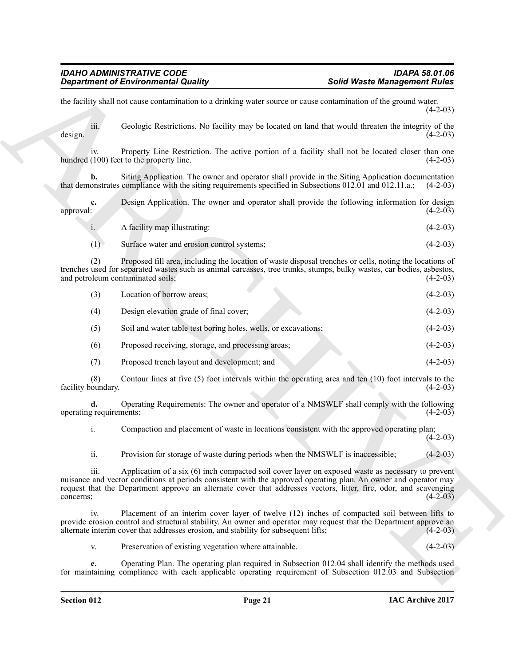**Experiment of Environmental Quality and Sound Water Management Bullet<br>
In the last and the case of the state and sound of case of the state and the case of the state of the state of the state of the state of the state of**  $(4-2-03)$ iii. Geologic Restrictions. No facility may be located on land that would threaten the integrity of the design.  $(4-2-03)$ iv. Property Line Restriction. The active portion of a facility shall not be located closer than one (100) feet to the property line. (4-2-03) hundred  $(100)$  feet to the property line. **b.** Siting Application. The owner and operator shall provide in the Siting Application documentation that demonstrates compliance with the siting requirements specified in Subsections 012.01 and 012.11.a.; (4-2-03) **c.** Design Application. The owner and operator shall provide the following information for design approval:  $(4-2-03)$ approval: (4-2-03) i. A facility map illustrating: (4-2-03) (1) Surface water and erosion control systems; (4-2-03) (2) Proposed fill area, including the location of waste disposal trenches or cells, noting the locations of trenches used for separated wastes such as animal carcasses, tree trunks, stumps, bulky wastes, car bodies, asbestos, and petroleum contaminated soils; (4-2-03) and petroleum contaminated soils; (3) Location of borrow areas; (4-2-03) (4) Design elevation grade of final cover; (4-2-03) (5) Soil and water table test boring holes, wells, or excavations; (4-2-03) (6) Proposed receiving, storage, and processing areas; (4-2-03) (7) Proposed trench layout and development; and (4-2-03)

the facility shall not cause contamination to a drinking water source or cause contamination of the ground water.

(8) Contour lines at five (5) foot intervals within the operating area and ten  $(10)$  foot intervals to the oundary. facility boundary.

**d.** Operating Requirements: The owner and operator of a NMSWLF shall comply with the following requirements: (4-2-03) operating requirements:

i. Compaction and placement of waste in locations consistent with the approved operating plan;  $(4-2-03)$ 

ii. Provision for storage of waste during periods when the NMSWLF is inaccessible; (4-2-03)

iii. Application of a six (6) inch compacted soil cover layer on exposed waste as necessary to prevent nuisance and vector conditions at periods consistent with the approved operating plan. An owner and operator may request that the Department approve an alternate cover that addresses vectors, litter, fire, odor, and scavenging concerns;  $(4-2-03)$ 

iv. Placement of an interim cover layer of twelve (12) inches of compacted soil between lifts to provide erosion control and structural stability. An owner and operator may request that the Department approve an alternate interim cover that addresses erosion, and stability for subsequent lifts; (4-2-03)

v. Preservation of existing vegetation where attainable. (4-2-03)

**e.** Operating Plan. The operating plan required in Subsection 012.04 shall identify the methods used for maintaining compliance with each applicable operating requirement of Subsection 012.03 and Subsection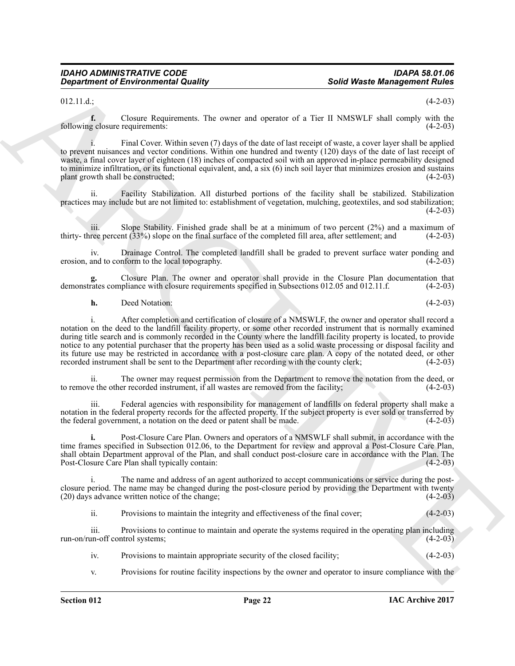#### $012.11.d.$ ; (4-2-03)

**f.** Closure Requirements. The owner and operator of a Tier II NMSWLF shall comply with the following closure requirements: (4-2-03)

i. Final Cover. Within seven (7) days of the date of last receipt of waste, a cover layer shall be applied to prevent nuisances and vector conditions. Within one hundred and twenty (120) days of the date of last receipt of waste, a final cover layer of eighteen (18) inches of compacted soil with an approved in-place permeability designed to minimize infiltration, or its functional equivalent, and, a six (6) inch soil layer that minimizes erosion and sustains plant growth shall be constructed; (4-2-03)

ii. Facility Stabilization. All disturbed portions of the facility shall be stabilized. Stabilization practices may include but are not limited to: establishment of vegetation, mulching, geotextiles, and sod stabilization;  $(4-2-03)$ 

iii. Slope Stability. Finished grade shall be at a minimum of two percent  $(2\%)$  and a maximum of ree percent  $(33\%)$  slope on the final surface of the completed fill area, after settlement; and  $(4-2-03)$ thirty- three percent  $(33%)$  slope on the final surface of the completed fill area, after settlement; and

iv. Drainage Control. The completed landfill shall be graded to prevent surface water ponding and erosion, and to conform to the local topography.

**g.** Closure Plan. The owner and operator shall provide in the Closure Plan documentation that demonstrates compliance with closure requirements specified in Subsections 012.05 and 012.11.f.

**h.** Deed Notation: (4-2-03)

**Solid Weath Amagement of Environmental Quality<br>
2014 Veath Amagement Multiple<br>
2013 Veath Amagement Multiple<br>
2014 Veath Amagement Multiple<br>
2014 Character Character The new end operator of**  $x$  **The UNNSNTP will comply wi** i. After completion and certification of closure of a NMSWLF, the owner and operator shall record a notation on the deed to the landfill facility property, or some other recorded instrument that is normally examined during title search and is commonly recorded in the County where the landfill facility property is located, to provide notice to any potential purchaser that the property has been used as a solid waste processing or disposal facility and its future use may be restricted in accordance with a post-closure care plan. A copy of the notated deed, or other recorded instrument shall be sent to the Department after recording with the county clerk; (4-2-03) recorded instrument shall be sent to the Department after recording with the county clerk;

ii. The owner may request permission from the Department to remove the notation from the deed, or e the other recorded instrument, if all wastes are removed from the facility; (4-2-03) to remove the other recorded instrument, if all wastes are removed from the facility;

iii. Federal agencies with responsibility for management of landfills on federal property shall make a notation in the federal property records for the affected property. If the subject property is ever sold or transferred by the federal government, a notation on the deed or patent shall be made. (4-2-03)

**i.** Post-Closure Care Plan. Owners and operators of a NMSWLF shall submit, in accordance with the time frames specified in Subsection 012.06, to the Department for review and approval a Post-Closure Care Plan, shall obtain Department approval of the Plan, and shall conduct post-closure care in accordance with the Plan. The Post-Closure Care Plan shall typically contain: (4-2-03) Post-Closure Care Plan shall typically contain:

i. The name and address of an agent authorized to accept communications or service during the postclosure period. The name may be changed during the post-closure period by providing the Department with twenty (20) days advance written notice of the change; (4-2-03)

ii. Provisions to maintain the integrity and effectiveness of the final cover; (4-2-03)

iii. Provisions to continue to maintain and operate the systems required in the operating plan including run-on/run-off control systems;  $(4-2-03)$ 

- iv. Provisions to maintain appropriate security of the closed facility; (4-2-03)
- v. Provisions for routine facility inspections by the owner and operator to insure compliance with the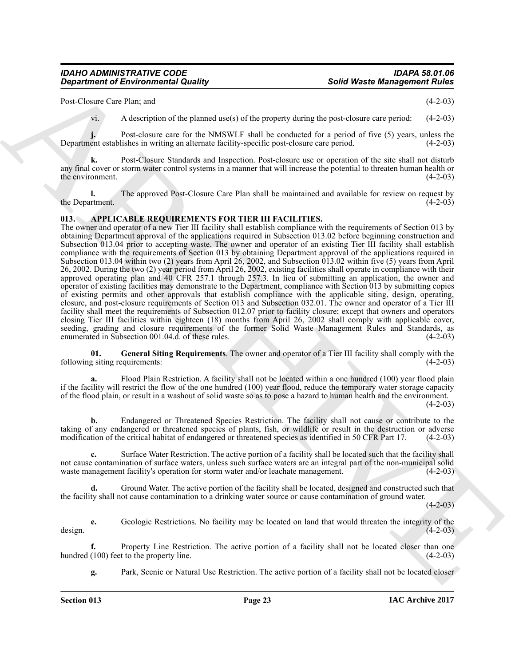Post-Closure Care Plan; and (4-2-03)

vi. A description of the planned use(s) of the property during the post-closure care period: (4-2-03)

**j.** Post-closure care for the NMSWLF shall be conducted for a period of five (5) years, unless the Department establishes in writing an alternate facility-specific post-closure care period. (4-2-03)

**k.** Post-Closure Standards and Inspection. Post-closure use or operation of the site shall not disturb any final cover or storm water control systems in a manner that will increase the potential to threaten human health or the environment.  $(4-2-03)$ 

**l.** The approved Post-Closure Care Plan shall be maintained and available for review on request by (4-2-03) the Department.

#### <span id="page-22-1"></span><span id="page-22-0"></span>**013. APPLICABLE REQUIREMENTS FOR TIER III FACILITIES.**

Solid Weare. Means can be placed with a single procedure and the property distinguish of the single energy distinguish of the property distinguish of the single specific of the single specific of the single specific of th The owner and operator of a new Tier III facility shall establish compliance with the requirements of Section 013 by obtaining Department approval of the applications required in Subsection 013.02 before beginning construction and Subsection 013.04 prior to accepting waste. The owner and operator of an existing Tier III facility shall establish compliance with the requirements of Section 013 by obtaining Department approval of the applications required in Subsection 013.04 within two (2) years from April 26, 2002, and Subsection 013.02 within five (5) years from April 26, 2002. During the two (2) year period from April 26, 2002, existing facilities shall operate in compliance with their approved operating plan and 40 CFR 257.1 through 257.3. In lieu of submitting an application, the owner and operator of existing facilities may demonstrate to the Department, compliance with Section 013 by submitting copies of existing permits and other approvals that establish compliance with the applicable siting, design, operating, closure, and post-closure requirements of Section 013 and Subsection 032.01. The owner and operator of a Tier III facility shall meet the requirements of Subsection 012.07 prior to facility closure; except that owners and operators closing Tier III facilities within eighteen (18) months from April 26, 2002 shall comply with applicable cover, seeding, grading and closure requirements of the former Solid Waste Management Rules and Standards, as enumerated in Subsection 001.04.d. of these rules. (4-2-03) enumerated in Subsection 001.04.d. of these rules.

<span id="page-22-2"></span>**01. General Siting Requirements**. The owner and operator of a Tier III facility shall comply with the following siting requirements:

Flood Plain Restriction. A facility shall not be located within a one hundred (100) year flood plain if the facility will restrict the flow of the one hundred (100) year flood, reduce the temporary water storage capacity of the flood plain, or result in a washout of solid waste so as to pose a hazard to human health and the environment.

 $(4-2-03)$ 

**b.** Endangered or Threatened Species Restriction. The facility shall not cause or contribute to the taking of any endangered or threatened species of plants, fish, or wildlife or result in the destruction or adverse<br>modification of the critical habitat of endangered or threatened species as identified in 50 CFR Part 17. modification of the critical habitat of endangered or threatened species as identified in 50 CFR Part 17.

**c.** Surface Water Restriction. The active portion of a facility shall be located such that the facility shall not cause contamination of surface waters, unless such surface waters are an integral part of the non-municipal solid waste management facility's operation for storm water and/or leachate management. (4-2-03) waste management facility's operation for storm water and/or leachate management.

**d.** Ground Water. The active portion of the facility shall be located, designed and constructed such that the facility shall not cause contamination to a drinking water source or cause contamination of ground water.

 $(4-2-03)$ 

**e.** Geologic Restrictions. No facility may be located on land that would threaten the integrity of the design.  $(4-2-03)$ 

**f.** Property Line Restriction. The active portion of a facility shall not be located closer than one hundred  $(100)$  feet to the property line.

**g.** Park, Scenic or Natural Use Restriction. The active portion of a facility shall not be located closer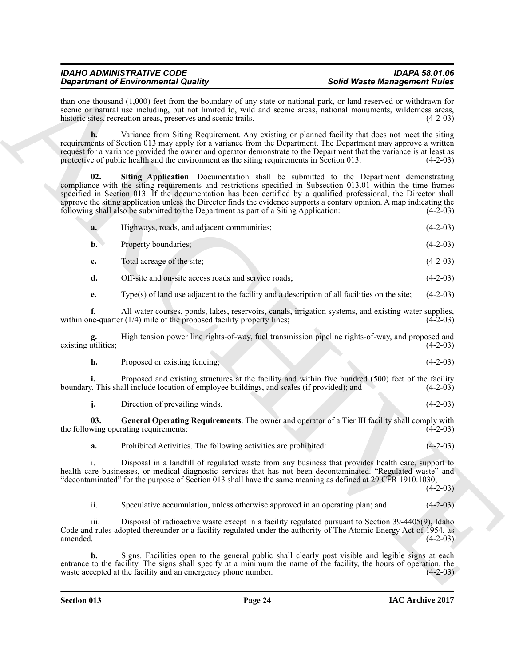<span id="page-23-1"></span><span id="page-23-0"></span>

| than one thousand $(1,000)$ feet from the boundary of any state or national park, or land reserved or withdrawn for<br>scenic or natural use including, but not limited to, wild and scenic areas, national monuments, wilderness areas,<br>historic sites, recreation areas, preserves and scenic trails.<br>$(4-2-03)$<br>Variance from Siting Requirement. Any existing or planned facility that does not meet the siting<br>h.<br>requirements of Section 013 may apply for a variance from the Department. The Department may approve a written<br>request for a variance provided the owner and operator demonstrate to the Department that the variance is at least as<br>protective of public health and the environment as the siting requirements in Section 013.<br>$(4-2-03)$<br>02.<br>Siting Application. Documentation shall be submitted to the Department demonstrating<br>compliance with the siting requirements and restrictions specified in Subsection 013.01 within the time frames<br>specified in Section 013. If the documentation has been certified by a qualified professional, the Director shall<br>approve the siting application unless the Director finds the evidence supports a contary opinion. A map indicating the<br>following shall also be submitted to the Department as part of a Siting Application:<br>$(4-2-03)$<br>Highways, roads, and adjacent communities;<br>$(4-2-03)$<br>a.<br>Property boundaries;<br>$(4-2-03)$<br>$\mathbf{b}$ .<br>Total acreage of the site;<br>$(4-2-03)$<br>c.<br>d.<br>Off-site and on-site access roads and service roads;<br>$(4-2-03)$<br>Type(s) of land use adjacent to the facility and a description of all facilities on the site;<br>$(4-2-03)$<br>e.<br>f.<br>All water courses, ponds, lakes, reservoirs, canals, irrigation systems, and existing water supplies,<br>within one-quarter $(1/4)$ mile of the proposed facility property lines;<br>$(4-2-03)$<br>High tension power line rights-of-way, fuel transmission pipeline rights-of-way, and proposed and<br>existing utilities;<br>$(4-2-03)$<br>h.<br>Proposed or existing fencing;<br>$(4-2-03)$<br>Proposed and existing structures at the facility and within five hundred (500) feet of the facility<br>boundary. This shall include location of employee buildings, and scales (if provided); and<br>$(4-2-03)$<br>j.<br>Direction of prevailing winds.<br>$(4-2-03)$<br>General Operating Requirements. The owner and operator of a Tier III facility shall comply with<br>03.<br>the following operating requirements:<br>$(4-2-03)$<br>$(4-2-03)$<br>Prohibited Activities. The following activities are prohibited:<br>a.<br>$\mathbf{i}$ .<br>Disposal in a landfill of regulated waste from any business that provides health care, support to<br>health care businesses, or medical diagnostic services that has not been decontaminated. "Regulated waste" and<br>"decontaminated" for the purpose of Section 013 shall have the same meaning as defined at 29 CFR 1910.1030;<br>$(4-2-03)$<br>ii.<br>Speculative accumulation, unless otherwise approved in an operating plan; and<br>$(4-2-03)$<br>iii.<br>Disposal of radioactive waste except in a facility regulated pursuant to Section 39-4405(9), Idaho<br>Code and rules adopted thereunder or a facility regulated under the authority of The Atomic Energy Act of 1954, as<br>amended.<br>$(4-2-03)$<br>Signs. Facilities open to the general public shall clearly post visible and legible signs at each<br>b.<br>entrance to the facility. The signs shall specify at a minimum the name of the facility, the hours of operation, the<br>waste accepted at the facility and an emergency phone number.<br>$(4-2-03)$ | <b>Department of Environmental Quality</b><br><b>Solid Waste Management Rules</b> |  |  |  |  |  |  |  |
|---------------------------------------------------------------------------------------------------------------------------------------------------------------------------------------------------------------------------------------------------------------------------------------------------------------------------------------------------------------------------------------------------------------------------------------------------------------------------------------------------------------------------------------------------------------------------------------------------------------------------------------------------------------------------------------------------------------------------------------------------------------------------------------------------------------------------------------------------------------------------------------------------------------------------------------------------------------------------------------------------------------------------------------------------------------------------------------------------------------------------------------------------------------------------------------------------------------------------------------------------------------------------------------------------------------------------------------------------------------------------------------------------------------------------------------------------------------------------------------------------------------------------------------------------------------------------------------------------------------------------------------------------------------------------------------------------------------------------------------------------------------------------------------------------------------------------------------------------------------------------------------------------------------------------------------------------------------------------------------------------------------------------------------------------------------------------------------------------------------------------------------------------------------------------------------------------------------------------------------------------------------------------------------------------------------------------------------------------------------------------------------------------------------------------------------------------------------------------------------------------------------------------------------------------------------------------------------------------------------------------------------------------------------------------------------------------------------------------------------------------------------------------------------------------------------------------------------------------------------------------------------------------------------------------------------------------------------------------------------------------------------------------------------------------------------------------------------------------------------------------------------------------------------------------------------------------------------------------------------------------------------------------------------------------------------------------------------------------------------------------------------------------------------------------------------------------------------------------------------------------------------------------------------------------------------------------------------------------------------------------------------------------------------------------------------------------------------------------------------------------|-----------------------------------------------------------------------------------|--|--|--|--|--|--|--|
|                                                                                                                                                                                                                                                                                                                                                                                                                                                                                                                                                                                                                                                                                                                                                                                                                                                                                                                                                                                                                                                                                                                                                                                                                                                                                                                                                                                                                                                                                                                                                                                                                                                                                                                                                                                                                                                                                                                                                                                                                                                                                                                                                                                                                                                                                                                                                                                                                                                                                                                                                                                                                                                                                                                                                                                                                                                                                                                                                                                                                                                                                                                                                                                                                                                                                                                                                                                                                                                                                                                                                                                                                                                                                                                                                   |                                                                                   |  |  |  |  |  |  |  |
|                                                                                                                                                                                                                                                                                                                                                                                                                                                                                                                                                                                                                                                                                                                                                                                                                                                                                                                                                                                                                                                                                                                                                                                                                                                                                                                                                                                                                                                                                                                                                                                                                                                                                                                                                                                                                                                                                                                                                                                                                                                                                                                                                                                                                                                                                                                                                                                                                                                                                                                                                                                                                                                                                                                                                                                                                                                                                                                                                                                                                                                                                                                                                                                                                                                                                                                                                                                                                                                                                                                                                                                                                                                                                                                                                   |                                                                                   |  |  |  |  |  |  |  |
|                                                                                                                                                                                                                                                                                                                                                                                                                                                                                                                                                                                                                                                                                                                                                                                                                                                                                                                                                                                                                                                                                                                                                                                                                                                                                                                                                                                                                                                                                                                                                                                                                                                                                                                                                                                                                                                                                                                                                                                                                                                                                                                                                                                                                                                                                                                                                                                                                                                                                                                                                                                                                                                                                                                                                                                                                                                                                                                                                                                                                                                                                                                                                                                                                                                                                                                                                                                                                                                                                                                                                                                                                                                                                                                                                   |                                                                                   |  |  |  |  |  |  |  |
|                                                                                                                                                                                                                                                                                                                                                                                                                                                                                                                                                                                                                                                                                                                                                                                                                                                                                                                                                                                                                                                                                                                                                                                                                                                                                                                                                                                                                                                                                                                                                                                                                                                                                                                                                                                                                                                                                                                                                                                                                                                                                                                                                                                                                                                                                                                                                                                                                                                                                                                                                                                                                                                                                                                                                                                                                                                                                                                                                                                                                                                                                                                                                                                                                                                                                                                                                                                                                                                                                                                                                                                                                                                                                                                                                   |                                                                                   |  |  |  |  |  |  |  |
|                                                                                                                                                                                                                                                                                                                                                                                                                                                                                                                                                                                                                                                                                                                                                                                                                                                                                                                                                                                                                                                                                                                                                                                                                                                                                                                                                                                                                                                                                                                                                                                                                                                                                                                                                                                                                                                                                                                                                                                                                                                                                                                                                                                                                                                                                                                                                                                                                                                                                                                                                                                                                                                                                                                                                                                                                                                                                                                                                                                                                                                                                                                                                                                                                                                                                                                                                                                                                                                                                                                                                                                                                                                                                                                                                   |                                                                                   |  |  |  |  |  |  |  |
|                                                                                                                                                                                                                                                                                                                                                                                                                                                                                                                                                                                                                                                                                                                                                                                                                                                                                                                                                                                                                                                                                                                                                                                                                                                                                                                                                                                                                                                                                                                                                                                                                                                                                                                                                                                                                                                                                                                                                                                                                                                                                                                                                                                                                                                                                                                                                                                                                                                                                                                                                                                                                                                                                                                                                                                                                                                                                                                                                                                                                                                                                                                                                                                                                                                                                                                                                                                                                                                                                                                                                                                                                                                                                                                                                   |                                                                                   |  |  |  |  |  |  |  |
|                                                                                                                                                                                                                                                                                                                                                                                                                                                                                                                                                                                                                                                                                                                                                                                                                                                                                                                                                                                                                                                                                                                                                                                                                                                                                                                                                                                                                                                                                                                                                                                                                                                                                                                                                                                                                                                                                                                                                                                                                                                                                                                                                                                                                                                                                                                                                                                                                                                                                                                                                                                                                                                                                                                                                                                                                                                                                                                                                                                                                                                                                                                                                                                                                                                                                                                                                                                                                                                                                                                                                                                                                                                                                                                                                   |                                                                                   |  |  |  |  |  |  |  |
|                                                                                                                                                                                                                                                                                                                                                                                                                                                                                                                                                                                                                                                                                                                                                                                                                                                                                                                                                                                                                                                                                                                                                                                                                                                                                                                                                                                                                                                                                                                                                                                                                                                                                                                                                                                                                                                                                                                                                                                                                                                                                                                                                                                                                                                                                                                                                                                                                                                                                                                                                                                                                                                                                                                                                                                                                                                                                                                                                                                                                                                                                                                                                                                                                                                                                                                                                                                                                                                                                                                                                                                                                                                                                                                                                   |                                                                                   |  |  |  |  |  |  |  |
|                                                                                                                                                                                                                                                                                                                                                                                                                                                                                                                                                                                                                                                                                                                                                                                                                                                                                                                                                                                                                                                                                                                                                                                                                                                                                                                                                                                                                                                                                                                                                                                                                                                                                                                                                                                                                                                                                                                                                                                                                                                                                                                                                                                                                                                                                                                                                                                                                                                                                                                                                                                                                                                                                                                                                                                                                                                                                                                                                                                                                                                                                                                                                                                                                                                                                                                                                                                                                                                                                                                                                                                                                                                                                                                                                   |                                                                                   |  |  |  |  |  |  |  |
|                                                                                                                                                                                                                                                                                                                                                                                                                                                                                                                                                                                                                                                                                                                                                                                                                                                                                                                                                                                                                                                                                                                                                                                                                                                                                                                                                                                                                                                                                                                                                                                                                                                                                                                                                                                                                                                                                                                                                                                                                                                                                                                                                                                                                                                                                                                                                                                                                                                                                                                                                                                                                                                                                                                                                                                                                                                                                                                                                                                                                                                                                                                                                                                                                                                                                                                                                                                                                                                                                                                                                                                                                                                                                                                                                   |                                                                                   |  |  |  |  |  |  |  |
|                                                                                                                                                                                                                                                                                                                                                                                                                                                                                                                                                                                                                                                                                                                                                                                                                                                                                                                                                                                                                                                                                                                                                                                                                                                                                                                                                                                                                                                                                                                                                                                                                                                                                                                                                                                                                                                                                                                                                                                                                                                                                                                                                                                                                                                                                                                                                                                                                                                                                                                                                                                                                                                                                                                                                                                                                                                                                                                                                                                                                                                                                                                                                                                                                                                                                                                                                                                                                                                                                                                                                                                                                                                                                                                                                   |                                                                                   |  |  |  |  |  |  |  |
|                                                                                                                                                                                                                                                                                                                                                                                                                                                                                                                                                                                                                                                                                                                                                                                                                                                                                                                                                                                                                                                                                                                                                                                                                                                                                                                                                                                                                                                                                                                                                                                                                                                                                                                                                                                                                                                                                                                                                                                                                                                                                                                                                                                                                                                                                                                                                                                                                                                                                                                                                                                                                                                                                                                                                                                                                                                                                                                                                                                                                                                                                                                                                                                                                                                                                                                                                                                                                                                                                                                                                                                                                                                                                                                                                   |                                                                                   |  |  |  |  |  |  |  |
|                                                                                                                                                                                                                                                                                                                                                                                                                                                                                                                                                                                                                                                                                                                                                                                                                                                                                                                                                                                                                                                                                                                                                                                                                                                                                                                                                                                                                                                                                                                                                                                                                                                                                                                                                                                                                                                                                                                                                                                                                                                                                                                                                                                                                                                                                                                                                                                                                                                                                                                                                                                                                                                                                                                                                                                                                                                                                                                                                                                                                                                                                                                                                                                                                                                                                                                                                                                                                                                                                                                                                                                                                                                                                                                                                   |                                                                                   |  |  |  |  |  |  |  |
|                                                                                                                                                                                                                                                                                                                                                                                                                                                                                                                                                                                                                                                                                                                                                                                                                                                                                                                                                                                                                                                                                                                                                                                                                                                                                                                                                                                                                                                                                                                                                                                                                                                                                                                                                                                                                                                                                                                                                                                                                                                                                                                                                                                                                                                                                                                                                                                                                                                                                                                                                                                                                                                                                                                                                                                                                                                                                                                                                                                                                                                                                                                                                                                                                                                                                                                                                                                                                                                                                                                                                                                                                                                                                                                                                   |                                                                                   |  |  |  |  |  |  |  |
|                                                                                                                                                                                                                                                                                                                                                                                                                                                                                                                                                                                                                                                                                                                                                                                                                                                                                                                                                                                                                                                                                                                                                                                                                                                                                                                                                                                                                                                                                                                                                                                                                                                                                                                                                                                                                                                                                                                                                                                                                                                                                                                                                                                                                                                                                                                                                                                                                                                                                                                                                                                                                                                                                                                                                                                                                                                                                                                                                                                                                                                                                                                                                                                                                                                                                                                                                                                                                                                                                                                                                                                                                                                                                                                                                   |                                                                                   |  |  |  |  |  |  |  |
|                                                                                                                                                                                                                                                                                                                                                                                                                                                                                                                                                                                                                                                                                                                                                                                                                                                                                                                                                                                                                                                                                                                                                                                                                                                                                                                                                                                                                                                                                                                                                                                                                                                                                                                                                                                                                                                                                                                                                                                                                                                                                                                                                                                                                                                                                                                                                                                                                                                                                                                                                                                                                                                                                                                                                                                                                                                                                                                                                                                                                                                                                                                                                                                                                                                                                                                                                                                                                                                                                                                                                                                                                                                                                                                                                   |                                                                                   |  |  |  |  |  |  |  |
|                                                                                                                                                                                                                                                                                                                                                                                                                                                                                                                                                                                                                                                                                                                                                                                                                                                                                                                                                                                                                                                                                                                                                                                                                                                                                                                                                                                                                                                                                                                                                                                                                                                                                                                                                                                                                                                                                                                                                                                                                                                                                                                                                                                                                                                                                                                                                                                                                                                                                                                                                                                                                                                                                                                                                                                                                                                                                                                                                                                                                                                                                                                                                                                                                                                                                                                                                                                                                                                                                                                                                                                                                                                                                                                                                   |                                                                                   |  |  |  |  |  |  |  |
|                                                                                                                                                                                                                                                                                                                                                                                                                                                                                                                                                                                                                                                                                                                                                                                                                                                                                                                                                                                                                                                                                                                                                                                                                                                                                                                                                                                                                                                                                                                                                                                                                                                                                                                                                                                                                                                                                                                                                                                                                                                                                                                                                                                                                                                                                                                                                                                                                                                                                                                                                                                                                                                                                                                                                                                                                                                                                                                                                                                                                                                                                                                                                                                                                                                                                                                                                                                                                                                                                                                                                                                                                                                                                                                                                   |                                                                                   |  |  |  |  |  |  |  |
|                                                                                                                                                                                                                                                                                                                                                                                                                                                                                                                                                                                                                                                                                                                                                                                                                                                                                                                                                                                                                                                                                                                                                                                                                                                                                                                                                                                                                                                                                                                                                                                                                                                                                                                                                                                                                                                                                                                                                                                                                                                                                                                                                                                                                                                                                                                                                                                                                                                                                                                                                                                                                                                                                                                                                                                                                                                                                                                                                                                                                                                                                                                                                                                                                                                                                                                                                                                                                                                                                                                                                                                                                                                                                                                                                   |                                                                                   |  |  |  |  |  |  |  |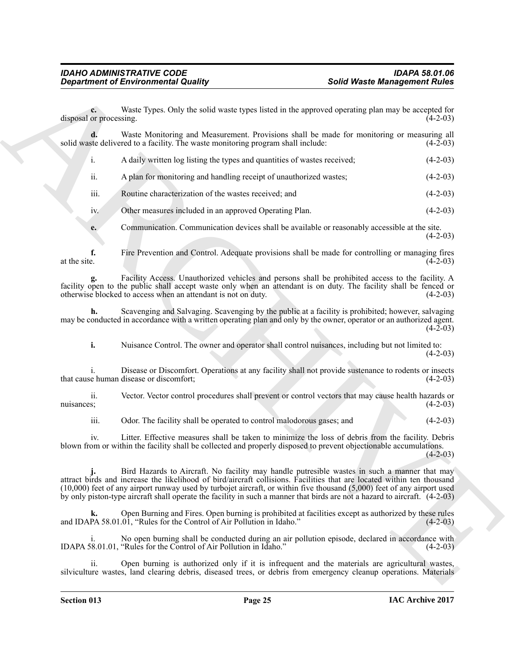**c.** Waste Types. Only the solid waste types listed in the approved operating plan may be accepted for or processing. (4-2-03) disposal or processing.

**d.** Waste Monitoring and Measurement. Provisions shall be made for monitoring or measuring all ste delivered to a facility. The waste monitoring program shall include: (4-2-03) solid waste delivered to a facility. The waste monitoring program shall include:

| A daily written log listing the types and quantities of wastes received; | $(4-2-03)$ |
|--------------------------------------------------------------------------|------------|
|                                                                          |            |

ii. A plan for monitoring and handling receipt of unauthorized wastes; (4-2-03)

iii. Routine characterization of the wastes received; and (4-2-03)

iv. Other measures included in an approved Operating Plan. (4-2-03)

**e.** Communication. Communication devices shall be available or reasonably accessible at the site. (4-2-03)

**f.** Fire Prevention and Control. Adequate provisions shall be made for controlling or managing fires at the site.  $(4-2-03)$ at the site.  $(4-2-03)$ 

**g.** Facility Access. Unauthorized vehicles and persons shall be prohibited access to the facility. A facility open to the public shall accept waste only when an attendant is on duty. The facility shall be fenced or otherwise blocked to access when an attendant is not on duty. otherwise blocked to access when an attendant is not on duty.

**h.** Scavenging and Salvaging. Scavenging by the public at a facility is prohibited; however, salvaging may be conducted in accordance with a written operating plan and only by the owner, operator or an authorized agent.  $(4-2-03)$ 

**i.** Nuisance Control. The owner and operator shall control nuisances, including but not limited to: (4-2-03)

i. Disease or Discomfort. Operations at any facility shall not provide sustenance to rodents or insects that cause human disease or discomfort; (4-2-03)

ii. Vector. Vector control procedures shall prevent or control vectors that may cause health hazards or nuisances;  $(4-2-03)$ 

iii. Odor. The facility shall be operated to control malodorous gases; and (4-2-03)

iv. Litter. Effective measures shall be taken to minimize the loss of debris from the facility. Debris blown from or within the facility shall be collected and properly disposed to prevent objectionable accumulations.  $(4-2-03)$ 

**Solid Weare Memopower of Environmental Quality<br>
Solid Weare Memopower in the state of the state of the state of the state of the state of the state of the state of the state of the state of the state of the state of the** Bird Hazards to Aircraft. No facility may handle putresible wastes in such a manner that may attract birds and increase the likelihood of bird/aircraft collisions. Facilities that are located within ten thousand (10,000) feet of any airport runway used by turbojet aircraft, or within five thousand (5,000) feet of any airport used by only piston-type aircraft shall operate the facility in such a manner that birds are not a hazard to aircraft. (4-2-03)

Open Burning and Fires. Open burning is prohibited at facilities except as authorized by these rules .01, "Rules for the Control of Air Pollution in Idaho." (4-2-03) and IDAPA 58.01.01, "Rules for the Control of Air Pollution in Idaho."

i. No open burning shall be conducted during an air pollution episode, declared in accordance with <br>8.01.01, "Rules for the Control of Air Pollution in Idaho." (4-2-03) IDAPA 58.01.01, "Rules for the Control of Air Pollution in Idaho."

Open burning is authorized only if it is infrequent and the materials are agricultural wastes, silviculture wastes, land clearing debris, diseased trees, or debris from emergency cleanup operations. Materials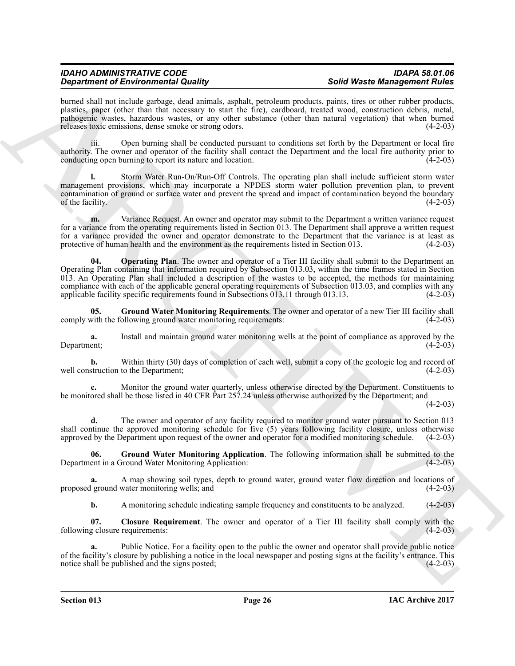burned shall not include garbage, dead animals, asphalt, petroleum products, paints, tires or other rubber products, plastics, paper (other than that necessary to start the fire), cardboard, treated wood, construction debris, metal, pathogenic wastes, hazardous wastes, or any other substance (other than natural vegetation) that when burned releases toxic emissions, dense smoke or strong odors. (4-2-03)

iii. Open burning shall be conducted pursuant to conditions set forth by the Department or local fire authority. The owner and operator of the facility shall contact the Department and the local fire authority prior to conducting open burning to report its nature and location. (4-2-03)

**l.** Storm Water Run-On/Run-Off Controls. The operating plan shall include sufficient storm water management provisions, which may incorporate a NPDES storm water pollution prevention plan, to prevent contamination of ground or surface water and prevent the spread and impact of contamination beyond the boundary of the facility.  $(4-2-03)$ 

<span id="page-25-3"></span>**m.** Variance Request. An owner and operator may submit to the Department a written variance request for a variance from the operating requirements listed in Section 013. The Department shall approve a written request for a variance provided the owner and operator demonstrate to the Department that the variance is at least as protective of human health and the environment as the requirements listed in Section 013. (4-2-03) protective of human health and the environment as the requirements listed in Section 013.

**Signification of European Constitution** and the state of the state of the state of the state of the state of the state of the state of the state of the state of the state of the state of the state of the state of the sta **04. Operating Plan**. The owner and operator of a Tier III facility shall submit to the Department an Operating Plan containing that information required by Subsection 013.03, within the time frames stated in Section 013. An Operating Plan shall included a description of the wastes to be accepted, the methods for maintaining compliance with each of the applicable general operating requirements of Subsection 013.03, and complies with any applicable facility specific requirements found in Subsections 013.11 through 013.13. (4-2-03)

<span id="page-25-2"></span>**05.** Ground Water Monitoring Requirements. The owner and operator of a new Tier III facility shall with the following ground water monitoring requirements: (4-2-03) comply with the following ground water monitoring requirements:

**a.** Install and maintain ground water monitoring wells at the point of compliance as approved by the Department; (4-2-03) Department; (4-2-03)

**b.** Within thirty (30) days of completion of each well, submit a copy of the geologic log and record of struction to the Department; (4-2-03) well construction to the Department;

**c.** Monitor the ground water quarterly, unless otherwise directed by the Department. Constituents to be monitored shall be those listed in 40 CFR Part 257.24 unless otherwise authorized by the Department; and

 $(4-2-03)$ 

**d.** The owner and operator of any facility required to monitor ground water pursuant to Section 013 shall continue the approved monitoring schedule for five  $(5)$  years following facility closure, unless otherwise approved by the Department upon request of the owner and operator for a modified monitoring schedule.  $(4-2$ approved by the Department upon request of the owner and operator for a modified monitoring schedule.

<span id="page-25-1"></span>**06.** Ground Water Monitoring Application. The following information shall be submitted to the ent in a Ground Water Monitoring Application: (4-2-03) Department in a Ground Water Monitoring Application:

**a.** A map showing soil types, depth to ground water, ground water flow direction and locations of ground water monitoring wells; and (4-2-03) proposed ground water monitoring wells; and

<span id="page-25-0"></span>**b.** A monitoring schedule indicating sample frequency and constituents to be analyzed. (4-2-03)

**07. Closure Requirement**. The owner and operator of a Tier III facility shall comply with the following closure requirements: (4-2-03)

Public Notice. For a facility open to the public the owner and operator shall provide public notice of the facility's closure by publishing a notice in the local newspaper and posting signs at the facility's entrance. This notice shall be published and the signs posted; (4-2-03) notice shall be published and the signs posted;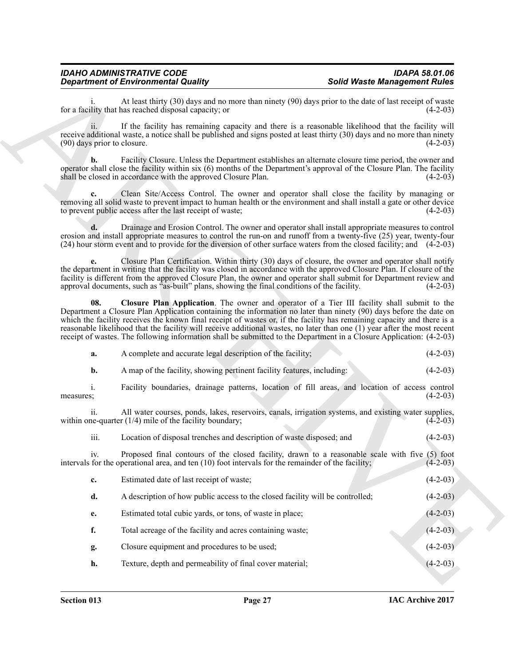<span id="page-26-0"></span>

|           | a.               | A complete and accurate legal description of the facility;                                                                                                         | $(4-2-03)$ |
|-----------|------------------|--------------------------------------------------------------------------------------------------------------------------------------------------------------------|------------|
|           | b.               | A map of the facility, showing pertinent facility features, including:                                                                                             | $(4-2-03)$ |
| measures; |                  | Facility boundaries, drainage patterns, location of fill areas, and location of access control                                                                     | $(4-2-03)$ |
|           |                  | All water courses, ponds, lakes, reservoirs, canals, irrigation systems, and existing water supplies,<br>within one-quarter $(1/4)$ mile of the facility boundary; | $(4-2-03)$ |
|           | $\cdots$<br>111. | Location of disposal trenches and description of waste disposed; and                                                                                               | $(4-2-03)$ |

|                                    | <b>Department of Environmental Quality</b>                                                                                                                                                                                                                                                                                                                                                                                                                                                                                                                                                       | <b>Solid Waste Management Rules</b> |            |
|------------------------------------|--------------------------------------------------------------------------------------------------------------------------------------------------------------------------------------------------------------------------------------------------------------------------------------------------------------------------------------------------------------------------------------------------------------------------------------------------------------------------------------------------------------------------------------------------------------------------------------------------|-------------------------------------|------------|
|                                    | At least thirty (30) days and no more than ninety (90) days prior to the date of last receipt of waste<br>for a facility that has reached disposal capacity; or                                                                                                                                                                                                                                                                                                                                                                                                                                  |                                     | $(4-2-03)$ |
| 11.<br>(90) days prior to closure. | If the facility has remaining capacity and there is a reasonable likelihood that the facility will<br>receive additional waste, a notice shall be published and signs posted at least thirty (30) days and no more than ninety                                                                                                                                                                                                                                                                                                                                                                   |                                     | $(4-2-03)$ |
| b.                                 | Facility Closure. Unless the Department establishes an alternate closure time period, the owner and<br>operator shall close the facility within six (6) months of the Department's approval of the Closure Plan. The facility<br>shall be closed in accordance with the approved Closure Plan.                                                                                                                                                                                                                                                                                                   |                                     | $(4-2-03)$ |
| c.                                 | Clean Site/Access Control. The owner and operator shall close the facility by managing or<br>removing all solid waste to prevent impact to human health or the environment and shall install a gate or other device<br>to prevent public access after the last receipt of waste;                                                                                                                                                                                                                                                                                                                 |                                     | $(4-2-03)$ |
|                                    | Drainage and Erosion Control. The owner and operator shall install appropriate measures to control<br>erosion and install appropriate measures to control the run-on and runoff from a twenty-five (25) year, twenty-four<br>(24) hour storm event and to provide for the diversion of other surface waters from the closed facility; and (4-2-03)                                                                                                                                                                                                                                               |                                     |            |
| e.                                 | Closure Plan Certification. Within thirty (30) days of closure, the owner and operator shall notify<br>the department in writing that the facility was closed in accordance with the approved Closure Plan. If closure of the<br>facility is different from the approved Closure Plan, the owner and operator shall submit for Department review and<br>approval documents, such as "as-built" plans, showing the final conditions of the facility.                                                                                                                                              |                                     | $(4-2-03)$ |
| 08.                                | Closure Plan Application. The owner and operator of a Tier III facility shall submit to the<br>Department a Closure Plan Application containing the information no later than ninety (90) days before the date on<br>which the facility receives the known final receipt of wastes or, if the facility has remaining capacity and there is a<br>reasonable likelihood that the facility will receive additional wastes, no later than one (1) year after the most recent<br>receipt of wastes. The following information shall be submitted to the Department in a Closure Application: (4-2-03) |                                     |            |
| a.                                 | A complete and accurate legal description of the facility;                                                                                                                                                                                                                                                                                                                                                                                                                                                                                                                                       |                                     | $(4-2-03)$ |
| b.                                 | A map of the facility, showing pertinent facility features, including:                                                                                                                                                                                                                                                                                                                                                                                                                                                                                                                           |                                     | $(4-2-03)$ |
| $\mathbf{i}$ .<br>measures;        | Facility boundaries, drainage patterns, location of fill areas, and location of access control                                                                                                                                                                                                                                                                                                                                                                                                                                                                                                   |                                     | $(4-2-03)$ |
| ii.                                | All water courses, ponds, lakes, reservoirs, canals, irrigation systems, and existing water supplies,<br>within one-quarter $(1/4)$ mile of the facility boundary;                                                                                                                                                                                                                                                                                                                                                                                                                               |                                     | $(4-2-03)$ |
| iii.                               | Location of disposal trenches and description of waste disposed; and                                                                                                                                                                                                                                                                                                                                                                                                                                                                                                                             |                                     | $(4-2-03)$ |
|                                    | Proposed final contours of the closed facility, drawn to a reasonable scale with five (5) foot<br>intervals for the operational area, and ten $(10)$ foot intervals for the remainder of the facility;                                                                                                                                                                                                                                                                                                                                                                                           |                                     | $(4-2-03)$ |
| c.                                 | Estimated date of last receipt of waste;                                                                                                                                                                                                                                                                                                                                                                                                                                                                                                                                                         |                                     | $(4-2-03)$ |
| d.                                 | A description of how public access to the closed facility will be controlled;                                                                                                                                                                                                                                                                                                                                                                                                                                                                                                                    |                                     | $(4-2-03)$ |
| e.                                 | Estimated total cubic yards, or tons, of waste in place;                                                                                                                                                                                                                                                                                                                                                                                                                                                                                                                                         |                                     | $(4-2-03)$ |
|                                    | Total acreage of the facility and acres containing waste;                                                                                                                                                                                                                                                                                                                                                                                                                                                                                                                                        |                                     | $(4-2-03)$ |
| f.                                 |                                                                                                                                                                                                                                                                                                                                                                                                                                                                                                                                                                                                  |                                     |            |
| g.                                 | Closure equipment and procedures to be used;                                                                                                                                                                                                                                                                                                                                                                                                                                                                                                                                                     |                                     | $(4-2-03)$ |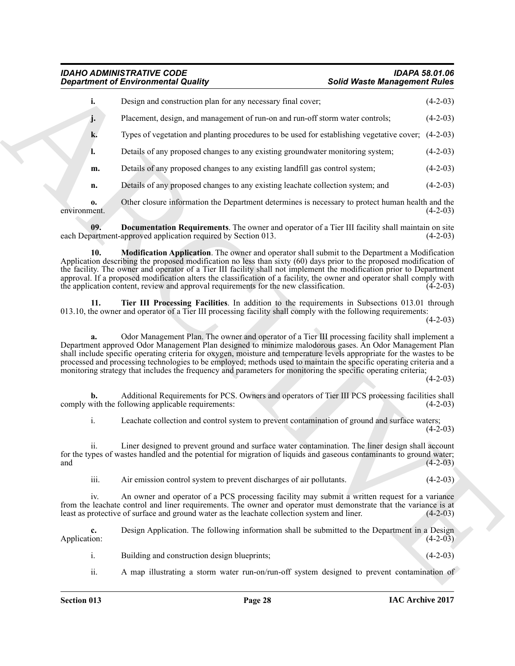<span id="page-27-2"></span><span id="page-27-1"></span><span id="page-27-0"></span>

| i.<br>Design and construction plan for any necessary final cover;<br>Placement, design, and management of run-on and run-off storm water controls;<br>j.<br>Types of vegetation and planting procedures to be used for establishing vegetative cover; (4-2-03)<br>k.<br>Details of any proposed changes to any existing groundwater monitoring system;<br>l.<br>Details of any proposed changes to any existing landfill gas control system;<br>m.<br>Details of any proposed changes to any existing leachate collection system; and<br>n.<br>Other closure information the Department determines is necessary to protect human health and the<br>0.<br><b>Documentation Requirements</b> . The owner and operator of a Tier III facility shall maintain on site<br>09.<br>each Department-approved application required by Section 013.<br>10.<br><b>Modification Application</b> . The owner and operator shall submit to the Department a Modification<br>Application describing the proposed modification no less than sixty (60) days prior to the proposed modification of<br>the facility. The owner and operator of a Tier III facility shall not implement the modification prior to Department<br>approval. If a proposed modification alters the classification of a facility, the owner and operator shall comply with<br>the application content, review and approval requirements for the new classification.<br>11.<br>Tier III Processing Facilities. In addition to the requirements in Subsections 013.01 through<br>013.10, the owner and operator of a Tier III processing facility shall comply with the following requirements:<br>Odor Management Plan. The owner and operator of a Tier III processing facility shall implement a<br>a.<br>Department approved Odor Management Plan designed to minimize malodorous gases. An Odor Management Plan<br>shall include specific operating criteria for oxygen, moisture and temperature levels appropriate for the wastes to be<br>processed and processing technologies to be employed; methods used to maintain the specific operating criteria and a<br>monitoring strategy that includes the frequency and parameters for monitoring the specific operating criteria;<br>Additional Requirements for PCS. Owners and operators of Tier III PCS processing facilities shall<br>comply with the following applicable requirements:<br>i.<br>Leachate collection and control system to prevent contamination of ground and surface waters;<br>Liner designed to prevent ground and surface water contamination. The liner design shall account<br>11.<br>for the types of wastes handled and the potential for migration of liquids and gaseous contaminants to ground water;<br>iii.<br>Air emission control system to prevent discharges of air pollutants.<br>An owner and operator of a PCS processing facility may submit a written request for a variance<br>iv.<br>from the leachate control and liner requirements. The owner and operator must demonstrate that the variance is at<br>least as protective of surface and ground water as the leachate collection system and liner.<br>Design Application. The following information shall be submitted to the Department in a Design<br>$c_{\cdot}$<br>$\mathbf{i}$ .<br>Building and construction design blueprints;<br>ii.<br>A map illustrating a storm water run-on/run-off system designed to prevent contamination of |              | <b>Department of Environmental Quality</b> | <b>Solid Waste Management Rules</b> |            |
|-------------------------------------------------------------------------------------------------------------------------------------------------------------------------------------------------------------------------------------------------------------------------------------------------------------------------------------------------------------------------------------------------------------------------------------------------------------------------------------------------------------------------------------------------------------------------------------------------------------------------------------------------------------------------------------------------------------------------------------------------------------------------------------------------------------------------------------------------------------------------------------------------------------------------------------------------------------------------------------------------------------------------------------------------------------------------------------------------------------------------------------------------------------------------------------------------------------------------------------------------------------------------------------------------------------------------------------------------------------------------------------------------------------------------------------------------------------------------------------------------------------------------------------------------------------------------------------------------------------------------------------------------------------------------------------------------------------------------------------------------------------------------------------------------------------------------------------------------------------------------------------------------------------------------------------------------------------------------------------------------------------------------------------------------------------------------------------------------------------------------------------------------------------------------------------------------------------------------------------------------------------------------------------------------------------------------------------------------------------------------------------------------------------------------------------------------------------------------------------------------------------------------------------------------------------------------------------------------------------------------------------------------------------------------------------------------------------------------------------------------------------------------------------------------------------------------------------------------------------------------------------------------------------------------------------------------------------------------------------------------------------------------------------------------------------------------------------------------------------------------------------------------------------------------------------------------------------------------------------------------------------------------------------------------------------------------------------------------------------------------------------------------------------------------------------------------------------|--------------|--------------------------------------------|-------------------------------------|------------|
|                                                                                                                                                                                                                                                                                                                                                                                                                                                                                                                                                                                                                                                                                                                                                                                                                                                                                                                                                                                                                                                                                                                                                                                                                                                                                                                                                                                                                                                                                                                                                                                                                                                                                                                                                                                                                                                                                                                                                                                                                                                                                                                                                                                                                                                                                                                                                                                                                                                                                                                                                                                                                                                                                                                                                                                                                                                                                                                                                                                                                                                                                                                                                                                                                                                                                                                                                                                                                                                             |              |                                            |                                     | $(4-2-03)$ |
|                                                                                                                                                                                                                                                                                                                                                                                                                                                                                                                                                                                                                                                                                                                                                                                                                                                                                                                                                                                                                                                                                                                                                                                                                                                                                                                                                                                                                                                                                                                                                                                                                                                                                                                                                                                                                                                                                                                                                                                                                                                                                                                                                                                                                                                                                                                                                                                                                                                                                                                                                                                                                                                                                                                                                                                                                                                                                                                                                                                                                                                                                                                                                                                                                                                                                                                                                                                                                                                             |              |                                            |                                     | $(4-2-03)$ |
|                                                                                                                                                                                                                                                                                                                                                                                                                                                                                                                                                                                                                                                                                                                                                                                                                                                                                                                                                                                                                                                                                                                                                                                                                                                                                                                                                                                                                                                                                                                                                                                                                                                                                                                                                                                                                                                                                                                                                                                                                                                                                                                                                                                                                                                                                                                                                                                                                                                                                                                                                                                                                                                                                                                                                                                                                                                                                                                                                                                                                                                                                                                                                                                                                                                                                                                                                                                                                                                             |              |                                            |                                     |            |
|                                                                                                                                                                                                                                                                                                                                                                                                                                                                                                                                                                                                                                                                                                                                                                                                                                                                                                                                                                                                                                                                                                                                                                                                                                                                                                                                                                                                                                                                                                                                                                                                                                                                                                                                                                                                                                                                                                                                                                                                                                                                                                                                                                                                                                                                                                                                                                                                                                                                                                                                                                                                                                                                                                                                                                                                                                                                                                                                                                                                                                                                                                                                                                                                                                                                                                                                                                                                                                                             |              |                                            |                                     | $(4-2-03)$ |
|                                                                                                                                                                                                                                                                                                                                                                                                                                                                                                                                                                                                                                                                                                                                                                                                                                                                                                                                                                                                                                                                                                                                                                                                                                                                                                                                                                                                                                                                                                                                                                                                                                                                                                                                                                                                                                                                                                                                                                                                                                                                                                                                                                                                                                                                                                                                                                                                                                                                                                                                                                                                                                                                                                                                                                                                                                                                                                                                                                                                                                                                                                                                                                                                                                                                                                                                                                                                                                                             |              |                                            |                                     | $(4-2-03)$ |
|                                                                                                                                                                                                                                                                                                                                                                                                                                                                                                                                                                                                                                                                                                                                                                                                                                                                                                                                                                                                                                                                                                                                                                                                                                                                                                                                                                                                                                                                                                                                                                                                                                                                                                                                                                                                                                                                                                                                                                                                                                                                                                                                                                                                                                                                                                                                                                                                                                                                                                                                                                                                                                                                                                                                                                                                                                                                                                                                                                                                                                                                                                                                                                                                                                                                                                                                                                                                                                                             |              |                                            |                                     | $(4-2-03)$ |
|                                                                                                                                                                                                                                                                                                                                                                                                                                                                                                                                                                                                                                                                                                                                                                                                                                                                                                                                                                                                                                                                                                                                                                                                                                                                                                                                                                                                                                                                                                                                                                                                                                                                                                                                                                                                                                                                                                                                                                                                                                                                                                                                                                                                                                                                                                                                                                                                                                                                                                                                                                                                                                                                                                                                                                                                                                                                                                                                                                                                                                                                                                                                                                                                                                                                                                                                                                                                                                                             | environment. |                                            |                                     | $(4-2-03)$ |
|                                                                                                                                                                                                                                                                                                                                                                                                                                                                                                                                                                                                                                                                                                                                                                                                                                                                                                                                                                                                                                                                                                                                                                                                                                                                                                                                                                                                                                                                                                                                                                                                                                                                                                                                                                                                                                                                                                                                                                                                                                                                                                                                                                                                                                                                                                                                                                                                                                                                                                                                                                                                                                                                                                                                                                                                                                                                                                                                                                                                                                                                                                                                                                                                                                                                                                                                                                                                                                                             |              |                                            |                                     | $(4-2-03)$ |
|                                                                                                                                                                                                                                                                                                                                                                                                                                                                                                                                                                                                                                                                                                                                                                                                                                                                                                                                                                                                                                                                                                                                                                                                                                                                                                                                                                                                                                                                                                                                                                                                                                                                                                                                                                                                                                                                                                                                                                                                                                                                                                                                                                                                                                                                                                                                                                                                                                                                                                                                                                                                                                                                                                                                                                                                                                                                                                                                                                                                                                                                                                                                                                                                                                                                                                                                                                                                                                                             |              |                                            |                                     | $(4-2-03)$ |
|                                                                                                                                                                                                                                                                                                                                                                                                                                                                                                                                                                                                                                                                                                                                                                                                                                                                                                                                                                                                                                                                                                                                                                                                                                                                                                                                                                                                                                                                                                                                                                                                                                                                                                                                                                                                                                                                                                                                                                                                                                                                                                                                                                                                                                                                                                                                                                                                                                                                                                                                                                                                                                                                                                                                                                                                                                                                                                                                                                                                                                                                                                                                                                                                                                                                                                                                                                                                                                                             |              |                                            |                                     | $(4-2-03)$ |
|                                                                                                                                                                                                                                                                                                                                                                                                                                                                                                                                                                                                                                                                                                                                                                                                                                                                                                                                                                                                                                                                                                                                                                                                                                                                                                                                                                                                                                                                                                                                                                                                                                                                                                                                                                                                                                                                                                                                                                                                                                                                                                                                                                                                                                                                                                                                                                                                                                                                                                                                                                                                                                                                                                                                                                                                                                                                                                                                                                                                                                                                                                                                                                                                                                                                                                                                                                                                                                                             |              |                                            |                                     | $(4-2-03)$ |
|                                                                                                                                                                                                                                                                                                                                                                                                                                                                                                                                                                                                                                                                                                                                                                                                                                                                                                                                                                                                                                                                                                                                                                                                                                                                                                                                                                                                                                                                                                                                                                                                                                                                                                                                                                                                                                                                                                                                                                                                                                                                                                                                                                                                                                                                                                                                                                                                                                                                                                                                                                                                                                                                                                                                                                                                                                                                                                                                                                                                                                                                                                                                                                                                                                                                                                                                                                                                                                                             |              |                                            |                                     | $(4-2-03)$ |
|                                                                                                                                                                                                                                                                                                                                                                                                                                                                                                                                                                                                                                                                                                                                                                                                                                                                                                                                                                                                                                                                                                                                                                                                                                                                                                                                                                                                                                                                                                                                                                                                                                                                                                                                                                                                                                                                                                                                                                                                                                                                                                                                                                                                                                                                                                                                                                                                                                                                                                                                                                                                                                                                                                                                                                                                                                                                                                                                                                                                                                                                                                                                                                                                                                                                                                                                                                                                                                                             |              |                                            |                                     | $(4-2-03)$ |
|                                                                                                                                                                                                                                                                                                                                                                                                                                                                                                                                                                                                                                                                                                                                                                                                                                                                                                                                                                                                                                                                                                                                                                                                                                                                                                                                                                                                                                                                                                                                                                                                                                                                                                                                                                                                                                                                                                                                                                                                                                                                                                                                                                                                                                                                                                                                                                                                                                                                                                                                                                                                                                                                                                                                                                                                                                                                                                                                                                                                                                                                                                                                                                                                                                                                                                                                                                                                                                                             | and          |                                            |                                     | $(4-2-03)$ |
|                                                                                                                                                                                                                                                                                                                                                                                                                                                                                                                                                                                                                                                                                                                                                                                                                                                                                                                                                                                                                                                                                                                                                                                                                                                                                                                                                                                                                                                                                                                                                                                                                                                                                                                                                                                                                                                                                                                                                                                                                                                                                                                                                                                                                                                                                                                                                                                                                                                                                                                                                                                                                                                                                                                                                                                                                                                                                                                                                                                                                                                                                                                                                                                                                                                                                                                                                                                                                                                             |              |                                            |                                     | $(4-2-03)$ |
|                                                                                                                                                                                                                                                                                                                                                                                                                                                                                                                                                                                                                                                                                                                                                                                                                                                                                                                                                                                                                                                                                                                                                                                                                                                                                                                                                                                                                                                                                                                                                                                                                                                                                                                                                                                                                                                                                                                                                                                                                                                                                                                                                                                                                                                                                                                                                                                                                                                                                                                                                                                                                                                                                                                                                                                                                                                                                                                                                                                                                                                                                                                                                                                                                                                                                                                                                                                                                                                             |              |                                            |                                     | $(4-2-03)$ |
|                                                                                                                                                                                                                                                                                                                                                                                                                                                                                                                                                                                                                                                                                                                                                                                                                                                                                                                                                                                                                                                                                                                                                                                                                                                                                                                                                                                                                                                                                                                                                                                                                                                                                                                                                                                                                                                                                                                                                                                                                                                                                                                                                                                                                                                                                                                                                                                                                                                                                                                                                                                                                                                                                                                                                                                                                                                                                                                                                                                                                                                                                                                                                                                                                                                                                                                                                                                                                                                             | Application: |                                            |                                     | $(4-2-03)$ |
|                                                                                                                                                                                                                                                                                                                                                                                                                                                                                                                                                                                                                                                                                                                                                                                                                                                                                                                                                                                                                                                                                                                                                                                                                                                                                                                                                                                                                                                                                                                                                                                                                                                                                                                                                                                                                                                                                                                                                                                                                                                                                                                                                                                                                                                                                                                                                                                                                                                                                                                                                                                                                                                                                                                                                                                                                                                                                                                                                                                                                                                                                                                                                                                                                                                                                                                                                                                                                                                             |              |                                            |                                     | $(4-2-03)$ |
|                                                                                                                                                                                                                                                                                                                                                                                                                                                                                                                                                                                                                                                                                                                                                                                                                                                                                                                                                                                                                                                                                                                                                                                                                                                                                                                                                                                                                                                                                                                                                                                                                                                                                                                                                                                                                                                                                                                                                                                                                                                                                                                                                                                                                                                                                                                                                                                                                                                                                                                                                                                                                                                                                                                                                                                                                                                                                                                                                                                                                                                                                                                                                                                                                                                                                                                                                                                                                                                             |              |                                            |                                     |            |

- i. Building and construction design blueprints; (4-2-03)
- ii. A map illustrating a storm water run-on/run-off system designed to prevent contamination of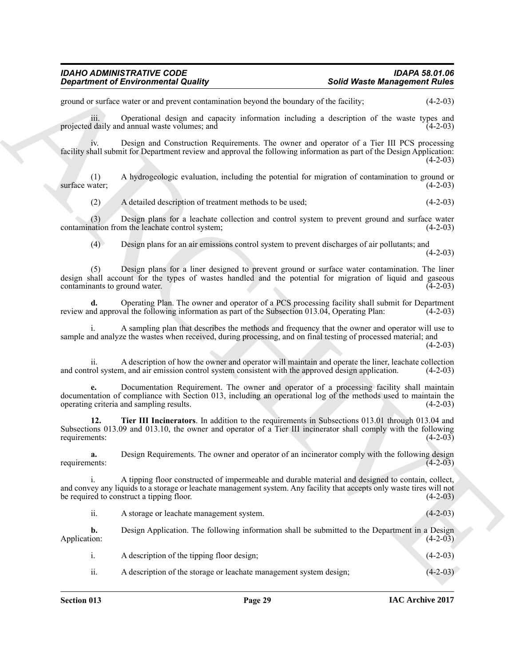ground or surface water or and prevent contamination beyond the boundary of the facility; (4-2-03)

iii. Operational design and capacity information including a description of the waste types and daily and annual waste volumes: and  $(4-2-03)$ projected daily and annual waste volumes; and

iv. Design and Construction Requirements. The owner and operator of a Tier III PCS processing facility shall submit for Department review and approval the following information as part of the Design Application:  $(4-2-03)$ 

(1) A hydrogeologic evaluation, including the potential for migration of contamination to ground or surface water:

(2) A detailed description of treatment methods to be used; (4-2-03)

(3) Design plans for a leachate collection and control system to prevent ground and surface water contamination from the leachate control system; (4-2-03)

(4) Design plans for an air emissions control system to prevent discharges of air pollutants; and

 $(4-2-03)$ 

(5) Design plans for a liner designed to prevent ground or surface water contamination. The liner design shall account for the types of wastes handled and the potential for migration of liquid and gaseous contaminants to ground water. (4-2-03) contaminants to ground water.

**d.** Operating Plan. The owner and operator of a PCS processing facility shall submit for Department nd approval the following information as part of the Subsection 013.04. Operating Plan: (4-2-03) review and approval the following information as part of the Subsection 013.04, Operating Plan:

i. A sampling plan that describes the methods and frequency that the owner and operator will use to sample and analyze the wastes when received, during processing, and on final testing of processed material; and

 $(4-2-03)$ 

ii. A description of how the owner and operator will maintain and operate the liner, leachate collection rol system, and air emission control system consistent with the approved design application. (4-2-03) and control system, and air emission control system consistent with the approved design application.

**Solution of Environmental Quality and Weath Measure Solution Solution Solution Consider the C-2013<br>
Solution of the same spectral consideration between the business of the formula of the same spectral of the same spectra e.** Documentation Requirement. The owner and operator of a processing facility shall maintain documentation of compliance with Section 013, including an operational log of the methods used to maintain the operating criteria and sampling results. (4-2-03)

<span id="page-28-0"></span>**12. Tier III Incinerators**. In addition to the requirements in Subsections 013.01 through 013.04 and Subsections 013.09 and 013.10, the owner and operator of a Tier III incinerator shall comply with the following requirements:  $(4-2-03)$ requirements: (4-2-03)

**a.** Design Requirements. The owner and operator of an incinerator comply with the following design nents: (4-2-03) requirements:

i. A tipping floor constructed of impermeable and durable material and designed to contain, collect, and convey any liquids to a storage or leachate management system. Any facility that accepts only waste tires will not be required to construct a tipping floor. (4-2-03)

ii. A storage or leachate management system. (4-2-03)

**b.** Design Application. The following information shall be submitted to the Department in a Design Application:  $(4-2-03)$ Application: (4-2-03)

i. A description of the tipping floor design; (4-2-03) ii. A description of the storage or leachate management system design; (4-2-03)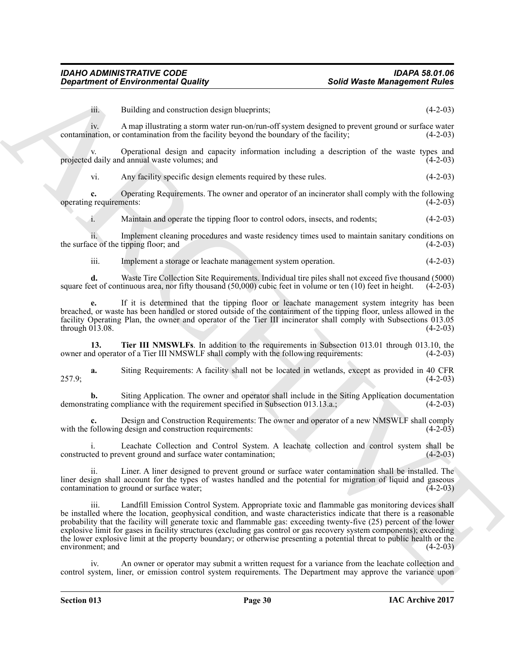iii. Building and construction design blueprints; (4-2-03) iv. A map illustrating a storm water run-on/run-off system designed to prevent ground or surface water contamination, or contamination from the facility beyond the boundary of the facility; (4-2-03)

v. Operational design and capacity information including a description of the waste types and daily and annual waste volumes: and projected daily and annual waste volumes; and

vi. Any facility specific design elements required by these rules. (4-2-03)

**c.** Operating Requirements. The owner and operator of an incinerator shall comply with the following requirements: (4-2-03) operating requirements:

i. Maintain and operate the tipping floor to control odors, insects, and rodents; (4-2-03)

ii. Implement cleaning procedures and waste residency times used to maintain sanitary conditions on ce of the tipping floor; and (4-2-03) the surface of the tipping floor; and

iii. Implement a storage or leachate management system operation. (4-2-03)

**d.** Waste Tire Collection Site Requirements. Individual tire piles shall not exceed five thousand (5000) eet of continuous area, nor fifty thousand (50,000) cubic feet in volume or ten (10) feet in height. (4-2-03) square feet of continuous area, nor fifty thousand  $(50,000)$  cubic feet in volume or ten  $(10)$  feet in height.

**e.** If it is determined that the tipping floor or leachate management system integrity has been breached, or waste has been handled or stored outside of the containment of the tipping floor, unless allowed in the facility Operating Plan, the owner and operator of the Tier III incinerator shall comply with Subsections 013.05 through 013.08. (4-2-03) through  $013.08$ .

<span id="page-29-0"></span>**13. Tier III NMSWLFs**. In addition to the requirements in Subsection 013.01 through 013.10, the doperator of a Tier III NMSWLF shall comply with the following requirements: (4-2-03) owner and operator of a Tier III NMSWLF shall comply with the following requirements:

**a.** Siting Requirements: A facility shall not be located in wetlands, except as provided in 40 CFR  $257.9$ ; (4-2-03)

**b.** Siting Application. The owner and operator shall include in the Siting Application documentation rating compliance with the requirement specified in Subsection 013.13.a.: (4-2-03) demonstrating compliance with the requirement specified in Subsection 013.13.a.;

Design and Construction Requirements: The owner and operator of a new NMSWLF shall comply g design and construction requirements: (4-2-03) with the following design and construction requirements:

i. Leachate Collection and Control System. A leachate collection and control system shall be constructed to prevent ground and surface water contamination; (4-2-03)

ii. Liner. A liner designed to prevent ground or surface water contamination shall be installed. The liner design shall account for the types of wastes handled and the potential for migration of liquid and gaseous contamination to ground or surface water; (4-2-03) contamination to ground or surface water;

**Exparament of Environmental Quality**<br> **Exparament of Environmental Quality**<br> **Exparament of Construction Construction** (1998) the present of Figure 2011 (1998) construction of the Construction Construction Construction ( iii. Landfill Emission Control System. Appropriate toxic and flammable gas monitoring devices shall be installed where the location, geophysical condition, and waste characteristics indicate that there is a reasonable probability that the facility will generate toxic and flammable gas: exceeding twenty-five (25) percent of the lower explosive limit for gases in facility structures (excluding gas control or gas recovery system components); exceeding the lower explosive limit at the property boundary; or otherwise presenting a potential threat to public health or the environment; and (4-2-03) environment; and

An owner or operator may submit a written request for a variance from the leachate collection and control system, liner, or emission control system requirements. The Department may approve the variance upon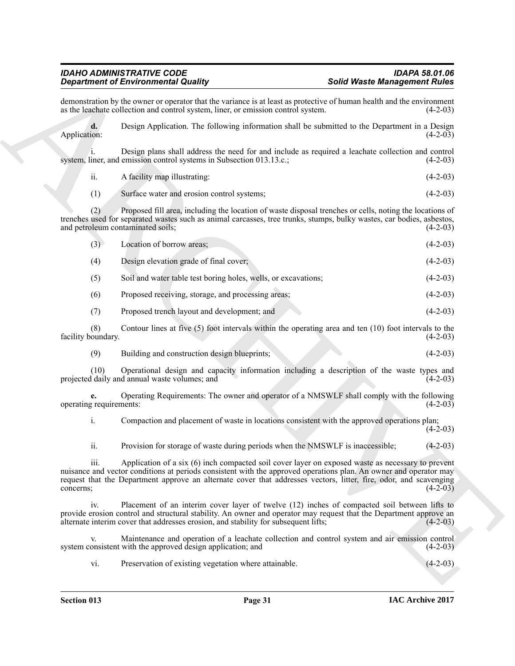Given the Entropy of Solid Water Solid Water Solid Water Solid Water Solid Water Solid Water Solid Water Solid Water Solid Water Solid Water Solid Water Solid Control of the Control of the Control of the Control of the Co demonstration by the owner or operator that the variance is at least as protective of human health and the environment as the leachate collection and control system, liner, or emission control system. (4-2-03) as the leachate collection and control system, liner, or emission control system. **d.** Design Application. The following information shall be submitted to the Department in a Design Application: (4-2-03) Application: (4-2-03) i. Design plans shall address the need for and include as required a leachate collection and control system, liner, and emission control systems in Subsection 013.13.c.; ii. A facility map illustrating: (4-2-03) (1) Surface water and erosion control systems; (4-2-03) (2) Proposed fill area, including the location of waste disposal trenches or cells, noting the locations of trenches used for separated wastes such as animal carcasses, tree trunks, stumps, bulky wastes, car bodies, asbestos, and petroleum contaminated soils; (4-2-03) (3) Location of borrow areas; (4-2-03) (4) Design elevation grade of final cover; (4-2-03) (5) Soil and water table test boring holes, wells, or excavations; (4-2-03) (6) Proposed receiving, storage, and processing areas; (4-2-03) (7) Proposed trench layout and development; and (4-2-03) (8) Contour lines at five (5) foot intervals within the operating area and ten (10) foot intervals to the operating  $(4-2-03)$ facility boundary. (9) Building and construction design blueprints; (4-2-03) (10) Operational design and capacity information including a description of the waste types and projected daily and annual waste volumes; and (4-2-03) **e.** Operating Requirements: The owner and operator of a NMSWLF shall comply with the following equirements: (4-2-03) operating requirements: i. Compaction and placement of waste in locations consistent with the approved operations plan;  $(4-2-03)$ ii. Provision for storage of waste during periods when the NMSWLF is inaccessible; (4-2-03) iii. Application of a six (6) inch compacted soil cover layer on exposed waste as necessary to prevent nuisance and vector conditions at periods consistent with the approved operations plan. An owner and operator may request that the Department approve an alternate cover that addresses vectors, litter, fire, odor, and scavenging concerns; (4-2-03) concerns;  $(4-2-03)$ iv. Placement of an interim cover layer of twelve (12) inches of compacted soil between lifts to provide erosion control and structural stability. An owner and operator may request that the Department approve an alternate interim cover that addresses erosion, and stability for subsequent lifts; (4-2-03) alternate interim cover that addresses erosion, and stability for subsequent lifts; v. Maintenance and operation of a leachate collection and control system and air emission control system consistent with the approved design application; and vi. Preservation of existing vegetation where attainable. (4-2-03)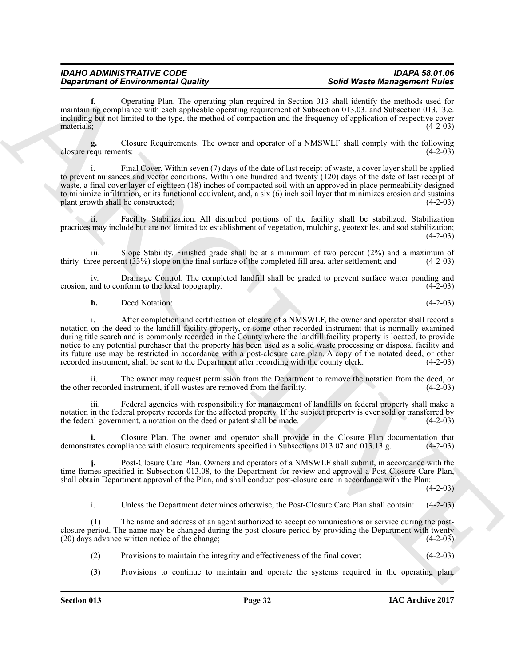**f.** Operating Plan. The operating plan required in Section 013 shall identify the methods used for maintaining compliance with each applicable operating requirement of Subsection 013.03. and Subsection 013.13.e. including but not limited to the type, the method of compaction and the frequency of application of respective cover materials; (4-2-03)

**g.** Closure Requirements. The owner and operator of a NMSWLF shall comply with the following closure requirements:

i. Final Cover. Within seven (7) days of the date of last receipt of waste, a cover layer shall be applied to prevent nuisances and vector conditions. Within one hundred and twenty (120) days of the date of last receipt of waste, a final cover layer of eighteen (18) inches of compacted soil with an approved in-place permeability designed to minimize infiltration, or its functional equivalent, and, a six (6) inch soil layer that minimizes erosion and sustains plant growth shall be constructed: (4-2-03) plant growth shall be constructed;

ii. Facility Stabilization. All disturbed portions of the facility shall be stabilized. Stabilization practices may include but are not limited to: establishment of vegetation, mulching, geotextiles, and sod stabilization;  $(4-2-03)$ 

iii. Slope Stability. Finished grade shall be at a minimum of two percent  $(2%)$  and a maximum of ree percent  $(33%)$  slope on the final surface of the completed fill area, after settlement: and  $(4-2-03)$ thirty- three percent  $(33%)$  slope on the final surface of the completed fill area, after settlement; and

iv. Drainage Control. The completed landfill shall be graded to prevent surface water ponding and erosion, and to conform to the local topography.

**h.** Deed Notation: (4-2-03)

**Expariment of Environmental Gauling (Separation)** and the set of the set of the set of the set of the set of the set of the set of the set of the set of the set of the set of the set of the set of the set of the set of t i. After completion and certification of closure of a NMSWLF, the owner and operator shall record a notation on the deed to the landfill facility property, or some other recorded instrument that is normally examined during title search and is commonly recorded in the County where the landfill facility property is located, to provide notice to any potential purchaser that the property has been used as a solid waste processing or disposal facility and its future use may be restricted in accordance with a post-closure care plan. A copy of the notated deed, or other recorded instrument, shall be sent to the Department after recording with the county clerk. (4-2-03) recorded instrument, shall be sent to the Department after recording with the county clerk.

ii. The owner may request permission from the Department to remove the notation from the deed, or recorded instrument, if all wastes are removed from the facility. (4-2-03) the other recorded instrument, if all wastes are removed from the facility.

iii. Federal agencies with responsibility for management of landfills on federal property shall make a notation in the federal property records for the affected property. If the subject property is ever sold or transferred by the federal government, a notation on the deed or patent shall be made. (4-2-03)

**i.** Closure Plan. The owner and operator shall provide in the Closure Plan documentation that demonstrates compliance with closure requirements specified in Subsections 013.07 and 013.13.g. (4-2-03)

**j.** Post-Closure Care Plan. Owners and operators of a NMSWLF shall submit, in accordance with the time frames specified in Subsection 013.08, to the Department for review and approval a Post-Closure Care Plan, shall obtain Department approval of the Plan, and shall conduct post-closure care in accordance with the Plan:

 $(4-2-03)$ 

i. Unless the Department determines otherwise, the Post-Closure Care Plan shall contain: (4-2-03)

(1) The name and address of an agent authorized to accept communications or service during the postclosure period. The name may be changed during the post-closure period by providing the Department with twenty (20) days advance written notice of the change;  $(20)$  days advance written notice of the change;

- (2) Provisions to maintain the integrity and effectiveness of the final cover; (4-2-03)
- (3) Provisions to continue to maintain and operate the systems required in the operating plan,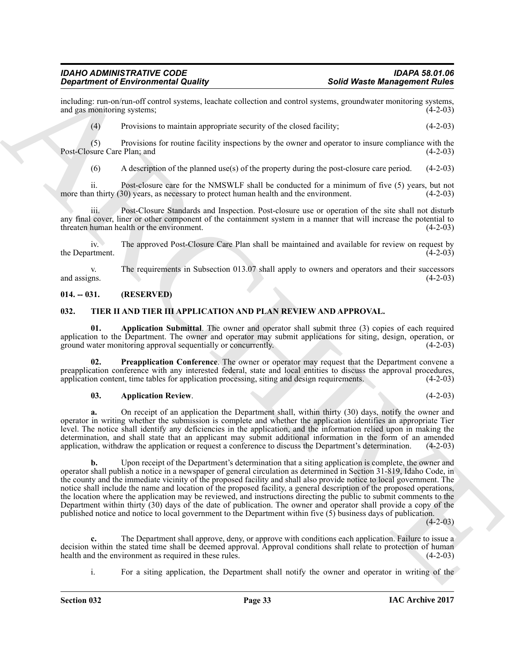including: run-on/run-off control systems, leachate collection and control systems, groundwater monitoring systems, and gas monitoring systems;

(4) Provisions to maintain appropriate security of the closed facility; (4-2-03)

(5) Provisions for routine facility inspections by the owner and operator to insure compliance with the Post-Closure Care Plan; and

(6) A description of the planned use(s) of the property during the post-closure care period. (4-2-03)

ii. Post-closure care for the NMSWLF shall be conducted for a minimum of five  $(5)$  years, but not n thirty  $(30)$  years, as necessary to protect human health and the environment.  $(4-2-03)$ more than thirty (30) years, as necessary to protect human health and the environment.

Post-Closure Standards and Inspection. Post-closure use or operation of the site shall not disturb any final cover, liner or other component of the containment system in a manner that will increase the potential to threaten human health or the environment. (4-2-03) threaten human health or the environment.

iv. The approved Post-Closure Care Plan shall be maintained and available for review on request by the Department. (4-2-03)

v. The requirements in Subsection 013.07 shall apply to owners and operators and their successors and assigns. (4-2-03) and assigns.  $(4-2-03)$ 

#### <span id="page-32-0"></span>**014. -- 031. (RESERVED)**

#### <span id="page-32-2"></span><span id="page-32-1"></span>**032. TIER II AND TIER III APPLICATION AND PLAN REVIEW AND APPROVAL.**

<span id="page-32-4"></span>**01. Application Submittal**. The owner and operator shall submit three (3) copies of each required application to the Department. The owner and operator may submit applications for siting, design, operation, or ground water monitoring approval sequentially or concurrently. (4-2-03) ground water monitoring approval sequentially or concurrently.

**02. Preapplication Conference**. The owner or operator may request that the Department convene a preapplication conference with any interested federal, state and local entities to discuss the approval procedures, application content, time tables for application processing, siting and design requirements. (4-2-03) application content, time tables for application processing, siting and design requirements.

#### <span id="page-32-5"></span><span id="page-32-3"></span>**03. Application Review**. (4-2-03)

**a.** On receipt of an application the Department shall, within thirty (30) days, notify the owner and operator in writing whether the submission is complete and whether the application identifies an appropriate Tier level. The notice shall identify any deficiencies in the application, and the information relied upon in making the determination, and shall state that an applicant may submit additional information in the form of an amended application, withdraw the application or request a conference to discuss the Department's determination. (4-2-03)

**Experiment of Environmental Guality**<br> **Experiment of Environmental Guality**<br>
and parameters of the state collection and observed and over the description of the state collection<br>
(4) Pays have been considered to the stat **b.** Upon receipt of the Department's determination that a siting application is complete, the owner and operator shall publish a notice in a newspaper of general circulation as determined in Section 31-819, Idaho Code, in the county and the immediate vicinity of the proposed facility and shall also provide notice to local government. The notice shall include the name and location of the proposed facility, a general description of the proposed operations, the location where the application may be reviewed, and instructions directing the public to submit comments to the Department within thirty (30) days of the date of publication. The owner and operator shall provide a copy of the published notice and notice to local government to the Department within five (5) business days of publication.

 $(4-2-03)$ 

**c.** The Department shall approve, deny, or approve with conditions each application. Failure to issue a decision within the stated time shall be deemed approval. Approval conditions shall relate to protection of human health and the environment as required in these rules. (4-2-03) health and the environment as required in these rules.

i. For a siting application, the Department shall notify the owner and operator in writing of the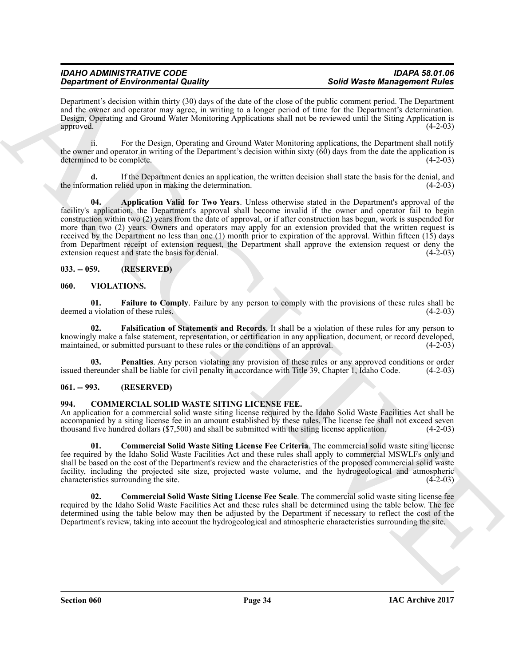Department's decision within thirty (30) days of the date of the close of the public comment period. The Department and the owner and operator may agree, in writing to a longer period of time for the Department's determination. Design, Operating and Ground Water Monitoring Applications shall not be reviewed until the Siting Application is approved. (4-2-03)

ii. For the Design, Operating and Ground Water Monitoring applications, the Department shall notify the owner and operator in writing of the Department's decision within sixty  $(60)$  days from the date the application is determined to be complete. (4-2-03)

<span id="page-33-7"></span>If the Department denies an application, the written decision shall state the basis for the denial, and lied upon in making the determination. (4-2-03) the information relied upon in making the determination.

**Dependent of Environmental Routing** (Solution disk club club of the file is solution of the properties of the properties of the properties of the solution of the solution of the solution of the solution of the solution o **04. Application Valid for Two Years**. Unless otherwise stated in the Department's approval of the facility's application, the Department's approval shall become invalid if the owner and operator fail to begin construction within two (2) years from the date of approval, or if after construction has begun, work is suspended for more than two (2) years. Owners and operators may apply for an extension provided that the written request is received by the Department no less than one (1) month prior to expiration of the approval. Within fifteen (15) days from Department receipt of extension request, the Department shall approve the extension request or deny the extension request and state the basis for denial. (4-2-03)

#### <span id="page-33-0"></span>**033. -- 059. (RESERVED)**

#### <span id="page-33-8"></span><span id="page-33-1"></span>**060. VIOLATIONS.**

<span id="page-33-9"></span>**01. Failure to Comply**. Failure by any person to comply with the provisions of these rules shall be deemed a violation of these rules.

<span id="page-33-10"></span>**02. Falsification of Statements and Records**. It shall be a violation of these rules for any person to knowingly make a false statement, representation, or certification in any application, document, or record developed, maintained, or submitted pursuant to these rules or the conditions of an approval.

<span id="page-33-11"></span>**03. Penalties**. Any person violating any provision of these rules or any approved conditions or order ereunder shall be liable for civil penalty in accordance with Title 39, Chapter 1, Idaho Code. (4-2-03) issued thereunder shall be liable for civil penalty in accordance with Title 39, Chapter 1, Idaho Code.

#### <span id="page-33-2"></span>**061. -- 993. (RESERVED)**

#### <span id="page-33-4"></span><span id="page-33-3"></span>**994. COMMERCIAL SOLID WASTE SITING LICENSE FEE.**

An application for a commercial solid waste siting license required by the Idaho Solid Waste Facilities Act shall be accompanied by a siting license fee in an amount established by these rules. The license fee shall not exceed seven thousand five hundred dollars (\$7,500) and shall be submitted with the siting license application. (4-2-03 thousand five hundred dollars (\$7,500) and shall be submitted with the siting license application.

<span id="page-33-5"></span>**01. Commercial Solid Waste Siting License Fee Criteria**. The commercial solid waste siting license fee required by the Idaho Solid Waste Facilities Act and these rules shall apply to commercial MSWLFs only and shall be based on the cost of the Department's review and the characteristics of the proposed commercial solid waste facility, including the projected site size, projected waste volume, and the hydrogeological and atmospheric characteristics surrounding the site.

<span id="page-33-6"></span>**02. Commercial Solid Waste Siting License Fee Scale**. The commercial solid waste siting license fee required by the Idaho Solid Waste Facilities Act and these rules shall be determined using the table below. The fee determined using the table below may then be adjusted by the Department if necessary to reflect the cost of the Department's review, taking into account the hydrogeological and atmospheric characteristics surrounding the site.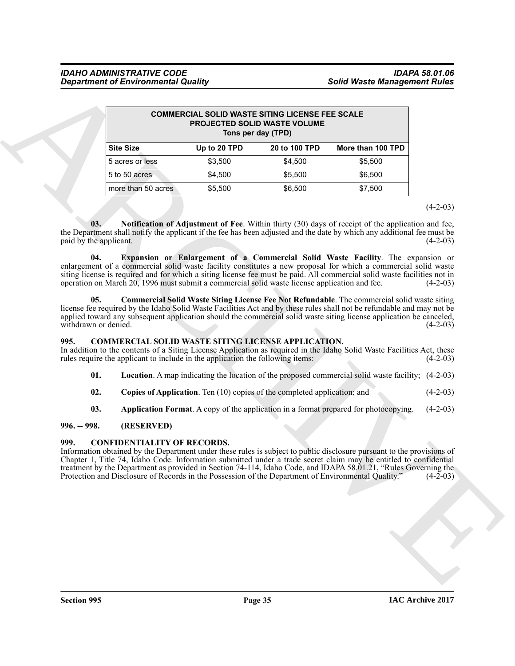|                               | <b>COMMERCIAL SOLID WASTE SITING LICENSE FEE SCALE</b><br><b>PROJECTED SOLID WASTE VOLUME</b><br>Tons per day (TPD)                         |              |                                                                          |                                                                                                                                                                                                                                                                                                                                                                                                                                                          |            |
|-------------------------------|---------------------------------------------------------------------------------------------------------------------------------------------|--------------|--------------------------------------------------------------------------|----------------------------------------------------------------------------------------------------------------------------------------------------------------------------------------------------------------------------------------------------------------------------------------------------------------------------------------------------------------------------------------------------------------------------------------------------------|------------|
|                               | <b>Site Size</b>                                                                                                                            | Up to 20 TPD | 20 to 100 TPD                                                            | More than 100 TPD                                                                                                                                                                                                                                                                                                                                                                                                                                        |            |
|                               | 5 acres or less                                                                                                                             | \$3,500      | \$4,500                                                                  | \$5,500                                                                                                                                                                                                                                                                                                                                                                                                                                                  |            |
|                               | 5 to 50 acres                                                                                                                               | \$4,500      | \$5,500                                                                  | \$6,500                                                                                                                                                                                                                                                                                                                                                                                                                                                  |            |
|                               | more than 50 acres                                                                                                                          | \$5,500      | \$6,500                                                                  | \$7,500                                                                                                                                                                                                                                                                                                                                                                                                                                                  |            |
|                               |                                                                                                                                             |              |                                                                          |                                                                                                                                                                                                                                                                                                                                                                                                                                                          | $(4-2-03)$ |
| paid by the applicant.<br>04. |                                                                                                                                             |              |                                                                          | the Department shall notify the applicant if the fee has been adjusted and the date by which any additional fee must be<br>Expansion or Enlargement of a Commercial Solid Waste Facility. The expansion or<br>enlargement of a commercial solid waste facility constitutes a new proposal for which a commercial solid waste<br>siting license is required and for which a siting license fee must be paid. All commercial solid waste facilities not in | $(4-2-03)$ |
|                               | operation on March 20, 1996 must submit a commercial solid waste license application and fee.                                               |              |                                                                          |                                                                                                                                                                                                                                                                                                                                                                                                                                                          | $(4-2-03)$ |
| 05.<br>withdrawn or denied.   |                                                                                                                                             |              |                                                                          | <b>Commercial Solid Waste Siting License Fee Not Refundable.</b> The commercial solid waste siting<br>license fee required by the Idaho Solid Waste Facilities Act and by these rules shall not be refundable and may not be<br>applied toward any subsequent application should the commercial solid waste siting license application be canceled,                                                                                                      | $(4-2-03)$ |
| 995.                          | <b>COMMERCIAL SOLID WASTE SITING LICENSE APPLICATION.</b><br>rules require the applicant to include in the application the following items: |              |                                                                          | In addition to the contents of a Siting License Application as required in the Idaho Solid Waste Facilities Act, these                                                                                                                                                                                                                                                                                                                                   | $(4-2-03)$ |
| 01.                           |                                                                                                                                             |              |                                                                          | Location. A map indicating the location of the proposed commercial solid waste facility; (4-2-03)                                                                                                                                                                                                                                                                                                                                                        |            |
| 02.                           |                                                                                                                                             |              | Copies of Application. Ten (10) copies of the completed application; and |                                                                                                                                                                                                                                                                                                                                                                                                                                                          | $(4-2-03)$ |
| 03.                           |                                                                                                                                             |              |                                                                          | <b>Application Format.</b> A copy of the application in a format prepared for photocopying.                                                                                                                                                                                                                                                                                                                                                              | $(4-2-03)$ |
| $996. - 998.$                 | (RESERVED)                                                                                                                                  |              |                                                                          |                                                                                                                                                                                                                                                                                                                                                                                                                                                          |            |
| 999.                          | <b>CONFIDENTIALITY OF RECORDS.</b><br>Protection and Disclosure of Records in the Possession of the Department of Environmental Quality."   |              |                                                                          | Information obtained by the Department under these rules is subject to public disclosure pursuant to the provisions of<br>Chapter 1, Title 74, Idaho Code. Information submitted under a trade secret claim may be entitled to confidential<br>treatment by the Department as provided in Section 74-114, Idaho Code, and IDAPA 58.01.21, "Rules Governing the                                                                                           | $(4-2-03)$ |
|                               |                                                                                                                                             |              |                                                                          |                                                                                                                                                                                                                                                                                                                                                                                                                                                          |            |
|                               |                                                                                                                                             |              |                                                                          |                                                                                                                                                                                                                                                                                                                                                                                                                                                          |            |
|                               |                                                                                                                                             |              |                                                                          |                                                                                                                                                                                                                                                                                                                                                                                                                                                          |            |

#### <span id="page-34-9"></span><span id="page-34-8"></span><span id="page-34-7"></span><span id="page-34-3"></span><span id="page-34-0"></span>**995. COMMERCIAL SOLID WASTE SITING LICENSE APPLICATION.**

- <span id="page-34-6"></span>**01. Location**. A map indicating the location of the proposed commercial solid waste facility; (4-2-03)
- <span id="page-34-5"></span>**02.** Copies of Application. Ten (10) copies of the completed application; and (4-2-03)
- <span id="page-34-4"></span>**03. Application Format**. A copy of the application in a format prepared for photocopying. (4-2-03)

### <span id="page-34-1"></span>**996. -- 998. (RESERVED)**

#### <span id="page-34-2"></span>**999. CONFIDENTIALITY OF RECORDS.**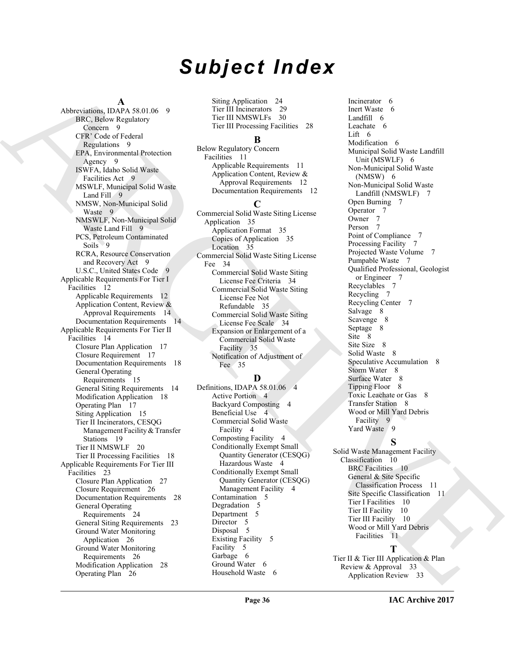# *Subject Index*

#### **A**

[A](#page-8-6)<br>
A[R](#page-8-9)[CH](#page-34-7)[IV](#page-8-14)[E](#page-32-2)R, and ARCHIVER, and ARCHIVER, and ARCHIVER, and ARCHIVER, and ARCHIVER, and ARCHIVER, and ARCHIVER, and ARCHIVER, and ARCHIVER, and ARCHIVER, and ARCHIVER, and ARCHIVER, and ARCHIVER, and ARCHIVER, and ARCHIVER Abbreviations, IDAPA 58.01.06 9 BRC, Below Regulatory Concern 9 CFR' Code of Federal Regulations 9 EPA, Environmental Protection Agency 9 ISWFA, Idaho Solid Waste Facilities Act 9 MSWLF, Municipal Solid Waste Land Fill 9 NMSW, Non-Municipal Solid Waste 9 NMSWLF, Non-Municipal Solid Waste Land Fill 9 PCS, Petroleum Contaminated Soils 9 RCRA, Resource Conservation and Recovery Act 9 U.S.C., United States Code 9 Applicable Requirements For Tier I Facilities 12 Applicable Requirements 12 Application Content, Review & Approval Requirements 14 Documentation Requirements 14 Applicable Requirements For Tier II Facilities 14 Closure Plan Application 17 Closure Requirement 17 Documentation Requirements 18 General Operating Requirements 15 General Siting Requirements 14 Modification Application 18 Operating Plan 17 Siting Application 15 Tier II Incinerators, CESQG Management Facility & Transfer Stations 19 Tier II NMSWLF 20 Tier II Processing Facilities 18 Applicable Requirements For Tier III Facilities 23 Closure Plan Application 27 Closure Requirement 26 Documentation Requirements 28 General Operating Requirements 24 General Siting Requirements 23 Ground Water Monitoring Application 26 Ground Water Monitoring Requirements 26 Modification Application 28 Operating Plan 26

Siting Application 24 Tier III Incinerators 29 Tier III NMSWLFs 30 Tier III Processing Facilities 28

#### **B**

Below Regulatory Concern Facilities 11 Applicable Requirements 11 Application Content, Review & Approval Requirements 12 Documentation Requirements 12 **C**

Commercial Solid Waste Siting License Application 35 Application Format 35 Copies of Application 35 Location 35 Commercial Solid Waste Siting License Fee 34 Commercial Solid Waste Siting License Fee Criteria 34 Commercial Solid Waste Siting License Fee Not Refundable 35 Commercial Solid Waste Siting License Fee Scale 34 Expansion or Enlargement of a Commercial Solid Waste Facility 35 Notification of Adjustment of Fee 35

## **D**

Definitions, IDAPA 58.01.06 4 Active Portion 4 Backyard Composting 4 Beneficial Use 4 Commercial Solid Waste Facility 4 Composting Facility 4 Conditionally Exempt Small Quantity Generator (CESQG) Hazardous Waste 4 Conditionally Exempt Small Quantity Generator (CESQG) Management Facility 4 Contamination 5 Degradation 5 Department 5 Director<sub>5</sub> Disposal 5 Existing Facility 5 Facility 5 Garbage 6 Ground Water 6 Household Waste 6

Incinerator 6 Inert Waste 6 Landfill 6 Leachate 6 Lift 6 Modification 6 Municipal Solid Waste Landfill Unit (MSWLF) 6 Non-Municipal Solid Waste (NMSW) 6 Non-Municipal Solid Waste Landfill (NMSWLF) 7 Open Burning 7 Operator 7 Owner 7 Person 7 Point of Compliance 7 Processing Facility 7 Projected Waste Volume 7 Pumpable Waste 7 Qualified Professional, Geologist or Engineer 7 Recyclables 7 Recycling 7 Recycling Center 7 Salvage 8 Scavenge 8 Septage 8 Site 8 Site Size 8 Solid Waste 8 Speculative Accumulation 8 Storm Water 8 Surface Water 8 Tipping Floor 8 Toxic Leachate or Gas 8 Transfer Station 8 Wood or Mill Yard Debris Facility 9 Yard Waste 9

**S** Solid Waste Management Facility Classification 10 BRC Facilities 10 General & Site Specific Classification Process 11 Site Specific Classification 11 Tier I Facilities 10 Tier II Facility 10 Tier III Facility 10 Wood or Mill Yard Debris Facilities 11

## **T**

Tier II & Tier III Application & Plan Review & Approval 33 Application Review 33